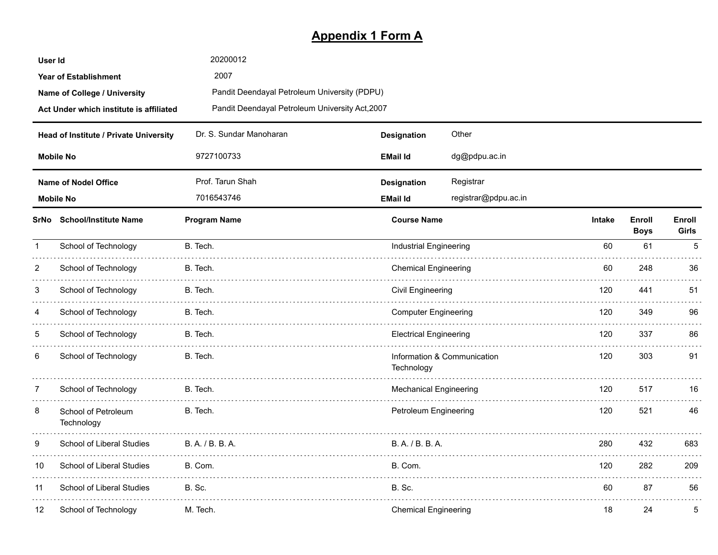# **Appendix 1 Form A**

| User Id        |                                         | 20200012                                        |                                         |                               |     |                       |                 |
|----------------|-----------------------------------------|-------------------------------------------------|-----------------------------------------|-------------------------------|-----|-----------------------|-----------------|
|                | <b>Year of Establishment</b>            | 2007                                            |                                         |                               |     |                       |                 |
|                | Name of College / University            | Pandit Deendayal Petroleum University (PDPU)    |                                         |                               |     |                       |                 |
|                | Act Under which institute is affiliated | Pandit Deendayal Petroleum University Act, 2007 |                                         |                               |     |                       |                 |
|                | Head of Institute / Private University  | Dr. S. Sundar Manoharan                         | <b>Designation</b>                      | Other                         |     |                       |                 |
|                | <b>Mobile No</b>                        | 9727100733                                      | <b>EMail Id</b>                         | dg@pdpu.ac.in                 |     |                       |                 |
|                | <b>Name of Nodel Office</b>             | Prof. Tarun Shah                                | <b>Designation</b>                      | Registrar                     |     |                       |                 |
|                | <b>Mobile No</b>                        | 7016543746                                      | registrar@pdpu.ac.in<br><b>EMail Id</b> |                               |     |                       |                 |
|                | SrNo School/Institute Name              | <b>Program Name</b>                             |                                         | <b>Course Name</b>            |     | Enroll<br><b>Boys</b> | Enroll<br>Girls |
| $\mathbf 1$    | School of Technology                    | B. Tech.                                        | <b>Industrial Engineering</b>           |                               | 60  | 61                    | 5               |
| $\overline{2}$ | School of Technology                    | B. Tech.                                        | <b>Chemical Engineering</b>             |                               | 60. | 248                   | 36              |
| 3              | School of Technology                    | B. Tech.                                        | Civil Engineering                       |                               | 120 | 441                   | 51              |
| 4              | School of Technology                    | B. Tech.                                        | <b>Computer Engineering</b>             |                               | 120 | 349                   | 96              |
| 5              | School of Technology                    | B. Tech.                                        |                                         | <b>Electrical Engineering</b> |     | 337                   | 86              |
| 6              | School of Technology                    | B. Tech.                                        | Technology                              | Information & Communication   | 120 | 303                   | 91              |
| $\overline{7}$ | School of Technology                    | B. Tech.                                        | <b>Mechanical Engineering</b>           |                               | 120 | 517                   | 16              |
| 8              | School of Petroleum<br>Technology       | B. Tech.                                        | Petroleum Engineering                   |                               | 120 | 521                   | 46              |
| 9              | School of Liberal Studies               | B. A. / B. B. A.                                | B. A. / B. B. A.                        |                               | 280 | 432                   | 683             |
| 10             | School of Liberal Studies               | B. Com.                                         | B. Com.                                 |                               | 120 | 282                   | 209             |
| 11             | School of Liberal Studies               | <b>B.</b> Sc.                                   | <b>B.</b> Sc.                           |                               | 60  | 87                    | 56              |
| 12             | School of Technology                    | M. Tech.                                        | <b>Chemical Engineering</b>             |                               | 18  | 24                    | 5               |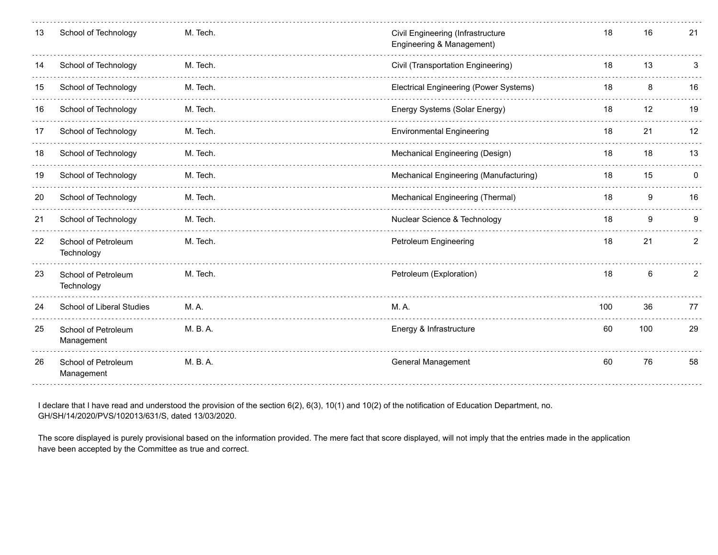| 13 | School of Technology              | M. Tech. | Civil Engineering (Infrastructure<br>Engineering & Management) | 18  | 16  | 21 |
|----|-----------------------------------|----------|----------------------------------------------------------------|-----|-----|----|
|    | School of Technology              | M. Tech. | Civil (Transportation Engineering)                             | 18  | 13  |    |
| 15 | School of Technology              | M. Tech. | <b>Electrical Engineering (Power Systems)</b>                  | 18  | 8   | 16 |
| 16 | School of Technology              | M. Tech. | Energy Systems (Solar Energy)                                  | 18  | 12  | 19 |
| 17 | School of Technology              | M. Tech. | <b>Environmental Engineering</b>                               | 18  | 21  | 12 |
| 18 | School of Technology              | M. Tech. | Mechanical Engineering (Design)                                | 18  | 18  | 13 |
| 19 | School of Technology              | M. Tech. | Mechanical Engineering (Manufacturing)                         | 18  | 15  | 0  |
| 20 | School of Technology              | M. Tech. | Mechanical Engineering (Thermal)                               | 18  | 9   | 16 |
| 21 | School of Technology              | M. Tech. | Nuclear Science & Technology                                   | 18  | 9   | 9  |
| 22 | School of Petroleum<br>Technology | M. Tech. | Petroleum Engineering                                          | 18  | 21  | 2  |
| 23 | School of Petroleum<br>Technology | M. Tech. | Petroleum (Exploration)                                        | 18  | 6   | 2  |
| 24 | School of Liberal Studies         | M.A.     | M. A.                                                          | 100 | 36  | 77 |
| 25 | School of Petroleum<br>Management | M. B. A. | Energy & Infrastructure                                        | 60  | 100 | 29 |
| 26 | School of Petroleum<br>Management | M. B. A. | <b>General Management</b>                                      | 60  | 76  | 58 |
|    |                                   |          |                                                                |     |     |    |

I declare that I have read and understood the provision of the section 6(2), 6(3), 10(1) and 10(2) of the notification of Education Department, no. GH/SH/14/2020/PVS/102013/631/S, dated 13/03/2020.

The score displayed is purely provisional based on the information provided. The mere fact that score displayed, will not imply that the entries made in the application have been accepted by the Committee as true and correct.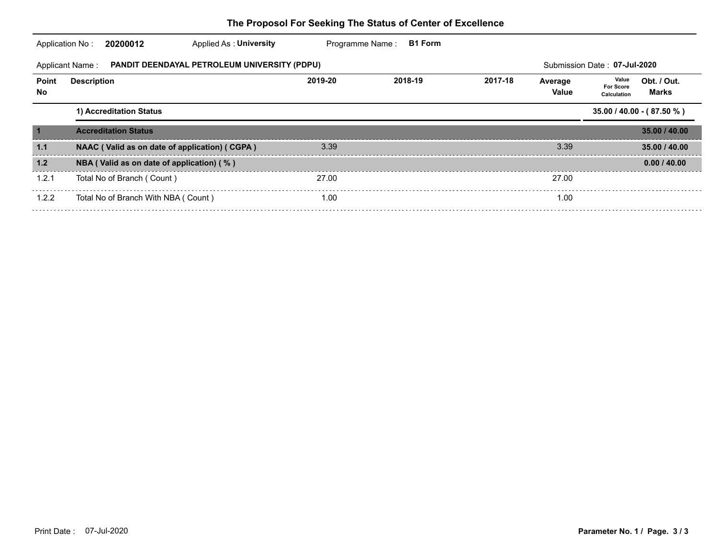|             | PANDIT DEENDAYAL PETROLEUM UNIVERSITY (PDPU)<br><b>Applicant Name:</b> |         |         |         |                  | Submission Date: 07-Jul-2020             |                             |
|-------------|------------------------------------------------------------------------|---------|---------|---------|------------------|------------------------------------------|-----------------------------|
| Point<br>No | <b>Description</b>                                                     | 2019-20 | 2018-19 | 2017-18 | Average<br>Value | Value<br><b>For Score</b><br>Calculation | Obt. / Out.<br>Marks        |
|             | 1) Accreditation Status                                                |         |         |         |                  |                                          | $35.00 / 40.00 - (87.50 %)$ |
|             | <b>Accreditation Status</b>                                            |         |         |         |                  |                                          | 35.00 / 40.00               |
| 1.1         | NAAC (Valid as on date of application) (CGPA)                          | 3.39    |         |         | 3.39             |                                          | 35.00 / 40.00               |
| 1.2         | NBA (Valid as on date of application) (%)                              |         |         |         |                  |                                          | 0.00 / 40.00                |
| 1.2.1       | Total No of Branch (Count)                                             | 27.00   |         |         | 27.00            |                                          |                             |
| 1.2.2       | Total No of Branch With NBA ( Count )                                  | 1.00    |         |         | 1.00             |                                          |                             |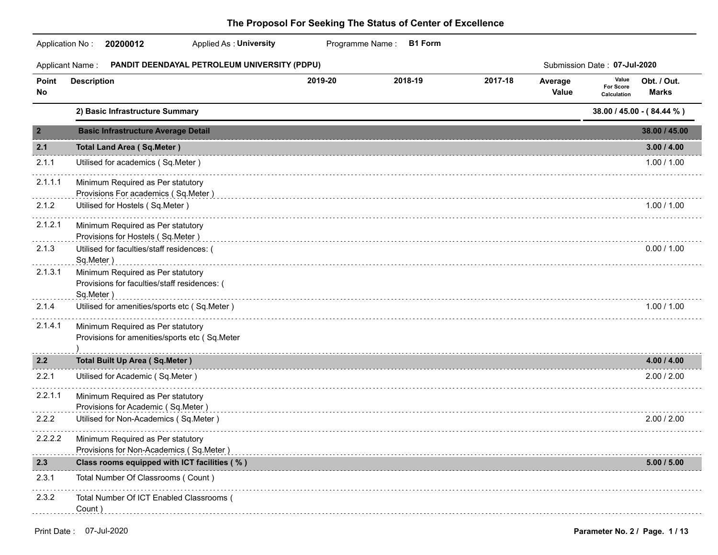### Application No : **20200012** Programme Name : B1 Form  **20200012** Applied As : **University PANDIT DEENDAYAL PETROLEUM UNIVERSITY (PDPU)** Submission Date : **07-Jul-2020** Applicant Name : Average Value **Point Description Value For Score Calculation 2019-20 2018-19 2017-18 Obt. / Out. No** Value <sub>Calculation</sub> **Marks 2) Basic Infrastructure Summary 38.00 / 45.00 - ( 84.44 % ) 2 Basic Infrastructure Average Detail 38.00 / 45.00 2.1 Total Land Area ( Sq.Meter ) 3.00 / 4.00** 2.1.1 Utilised for academics ( Sq.Meter ) 1.00 / 1.00 . . . . . . . . . . . . . . . . . . 2.1.1.1 Minimum Required as Per statutory Provisions For academics ( Sq.Meter ) de de decem 2.1.2 Utilised for Hostels ( Sq.Meter ) 1.00 / 1.00 2.1.2.1 Minimum Required as Per statutory Provisions for Hostels ( Sq.Meter ) . . . . . . . . 2.1.3 Utilised for faculties/staff residences: ( 0.00 / 1.00 Sq.Meter ) 2.1.3.1 Minimum Required as Per statutory Provisions for faculties/staff residences: ( Sq.Meter ) 2.1.4 Utilised for amenities/sports etc ( Sq.Meter ) 1.00 / 1.00 2.1.4.1 Minimum Required as Per statutory Provisions for amenities/sports etc ( Sq.Meter ) . . . . . . . . . . **2.2 Total Built Up Area ( Sq.Meter ) 4.00 / 4.00** 2.2.1 Utilised for Academic ( Sq.Meter ) 2.00 / 2.00 2.2.1.1 Minimum Required as Per statutory Provisions for Academic ( Sq.Meter ) **Services** 2.2.2 Utilised for Non-Academics ( Sq.Meter ) 2.00 / 2.00 2.2.2.2 Minimum Required as Per statutory Provisions for Non-Academics ( Sq.Meter ) **2.3 Class rooms equipped with ICT facilities ( % ) 5.00 / 5.00** 2.3.1 Total Number Of Classrooms ( Count ) 2.3.2 Total Number Of ICT Enabled Classrooms ( Count )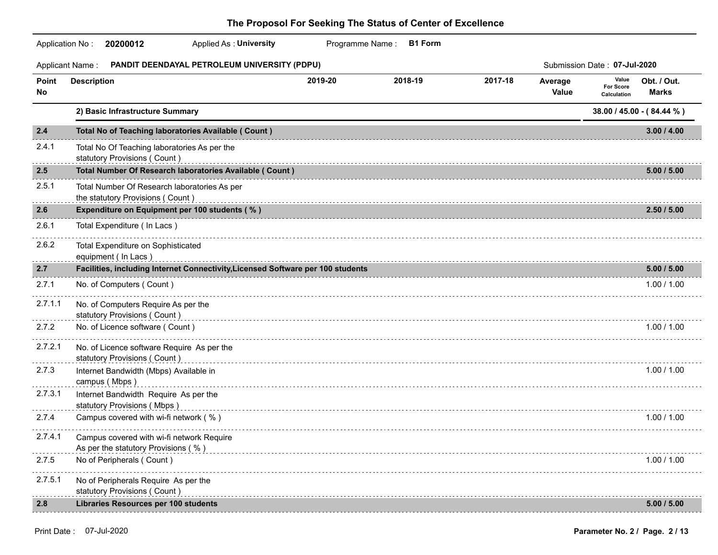### Application No : **20200012** Programme Name : B1 Form  **20200012** Applied As : **University PANDIT DEENDAYAL PETROLEUM UNIVERSITY (PDPU)** Submission Date : **07-Jul-2020** Applicant Name : Average Value **Point Description Value For Score Calculation 2019-20 2018-19 2017-18 Obt. / Out. No** Value <sub>Calculation</sub> **Marks 2) Basic Infrastructure Summary 38.00 / 45.00 - ( 84.44 % ) 2.4 Total No of Teaching laboratories Available ( Count ) 3.00 / 4.00** 2.4.1 Total No Of Teaching laboratories As per the statutory Provisions ( Count ) . . . . . . . . . . . **2.5 Total Number Of Research laboratories Available ( Count ) 5.00 / 5.00** 2.5.1 Total Number Of Research laboratories As per the statutory Provisions ( Count ) . . . . . . . . . . . **2.6 Expenditure on Equipment per 100 students ( % ) 2.50 / 5.00** 2.6.1 Total Expenditure ( In Lacs ) . . . . . . . . . . . 2.6.2 Total Expenditure on Sophisticated equipment ( In Lacs ) . . . . . . . . . . . **2.7 Facilities, including Internet Connectivity,Licensed Software per 100 students 5.00 / 5.00** 2.7.1 No. of Computers ( Count ) 2.7.1 No. of Computers ( Count ) 2.7.1 2.7.1.1 No. of Computers Require As per the statutory Provisions (Count ) examples and contact the control of the control of the control of the control of the control of the control of the control of the control of the control of the control of the control of the co . . . . . . . . . . . 2.7.2 No. of Licence software ( Count ) 1.00 / 1.00 2.7.2.1 No. of Licence software Require As per the statutory Provisions (Count ) with a conservative conservative conservative conservative conservative conservative conservative conservative conservative conservative conservative conservative conservative conservative con <u>. . . . . . . . . . . .</u> 2.7.3 Internet Bandwidth (Mbps) Available in 1.00 / 1.00 campus (Mbps ) example 3 and 2 and 2 and 2 and 2 and 2 and 2 and 2 and 2 and 2 and 2 and 2 and 2 and 2 and 2 and 2 and 2 and 2 and 2 and 2 and 2 and 2 and 2 and 2 and 2 and 2 and 2 and 2 and 2 and 2 and 2 and 2 and 2 and 2 . . . . . . . . . . 2.7.3.1 Internet Bandwidth Require As per the statutory Provisions (Mbps)<br>
and Mbps decompositions (Mbps decompositions of Mbps decompositions of Mbps decompositions of Mbps decomposit . . . . . . . . . . . 2.7.4 Campus covered with wi-fi network ( % ) 1.00 / 1.00  $/$  1.00 / 1.00  $/$  1.00  $/$  1.00 2.7.4.1 Campus covered with wi-fi network Require As per the statutory Provisions (%) example and the control of the statutory Provisions (%) and the statutory  $\sim$ <u>. . . . . . . . . . .</u> 2.7.5 No of Peripherals ( Count ) and the count of the count of the count of the count of the count of the count of the count of the count of the count of the count of the count of the count of the count of the count of th 2.7.5.1 No of Peripherals Require As per the statutory Provisions ( Count ) extending the context of the statutory Provisions ( Count ) and the context of t **2.8 Libraries Resources per 100 students 5.00 / 5.00**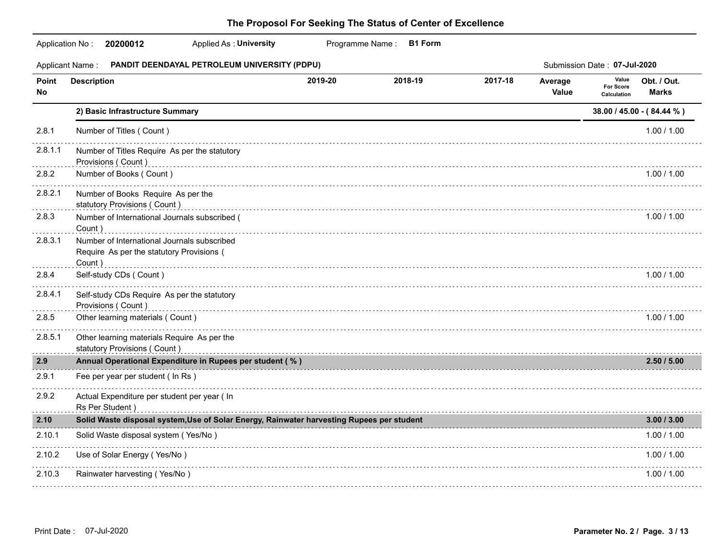|             | <b>Applied As: University</b><br>Application No: 20200012                                          |         | Programme Name: B1 Form |                                           |                         |                                          |                           |
|-------------|----------------------------------------------------------------------------------------------------|---------|-------------------------|-------------------------------------------|-------------------------|------------------------------------------|---------------------------|
|             | PANDIT DEENDAYAL PETROLEUM UNIVERSITY (PDPU)<br><b>Applicant Name:</b>                             |         |                         |                                           |                         | Submission Date: 07-Jul-2020             |                           |
| Point<br>No | <b>Description</b>                                                                                 | 2019-20 | 2018-19                 | 2017-18                                   | Average<br><b>Value</b> | Value<br><b>For Score</b><br>Calculation | Obt. / Out.<br>Marks      |
|             | 2) Basic Infrastructure Summary                                                                    |         |                         |                                           |                         |                                          | 38.00 / 45.00 - (84.44 %) |
| 2.8.1       | Number of Titles (Count)                                                                           |         |                         |                                           |                         |                                          | 1.00 / 1.00               |
| 2.8.1.1     | Number of Titles Require As per the statutory<br>Provisions (Count)                                |         |                         |                                           |                         |                                          |                           |
| 2.8.2       | Number of Books (Count)                                                                            |         |                         |                                           |                         |                                          | 1.00 / 1.00               |
| 2.8.2.1     | Number of Books Require As per the<br>statutory Provisions (Count)                                 |         |                         |                                           |                         |                                          |                           |
| 2.8.3       | Number of International Journals subscribed (<br>Count)                                            |         |                         |                                           |                         |                                          | 1.00 / 1.00               |
| 2.8.3.1     | Number of International Journals subscribed<br>Require As per the statutory Provisions (<br>Count) |         |                         |                                           |                         |                                          |                           |
| 2.8.4       | Self-study CDs (Count)                                                                             |         |                         |                                           |                         |                                          | 1.00 / 1.00               |
| 2.8.4.1     | Self-study CDs Require As per the statutory<br>Provisions (Count)                                  |         |                         |                                           |                         |                                          |                           |
| 2.8.5       | Other learning materials (Count)                                                                   |         |                         |                                           |                         |                                          | 1.00 / 1.00               |
| 2.8.5.1     | Other learning materials Require As per the<br>statutory Provisions (Count)                        |         |                         |                                           |                         |                                          |                           |
| 2.9         | Annual Operational Expenditure in Rupees per student (%)                                           |         |                         |                                           |                         |                                          | 2.50/5.00                 |
| 2.9.1       | Fee per year per student (In Rs)                                                                   |         |                         |                                           |                         |                                          |                           |
| 2.9.2       | Actual Expenditure per student per year ( In<br>Rs Per Student)                                    |         |                         |                                           |                         |                                          |                           |
| 2.10        | Solid Waste disposal system, Use of Solar Energy, Rainwater harvesting Rupees per student          |         |                         | 医皮肤病 医皮肤病 医心包 医心包 医心包 医心包 医心包 医心包 医心包 医心包 |                         |                                          | 3.00 / 3.00               |
| 2.10.1      | Solid Waste disposal system (Yes/No)                                                               |         |                         |                                           |                         |                                          | 1.00 / 1.00               |
| 2.10.2      | Use of Solar Energy (Yes/No)                                                                       |         |                         |                                           |                         |                                          | 1.00 / 1.00               |
| 2.10.3      | Rainwater harvesting (Yes/No)                                                                      |         |                         |                                           |                         |                                          | 1.00 / 1.00               |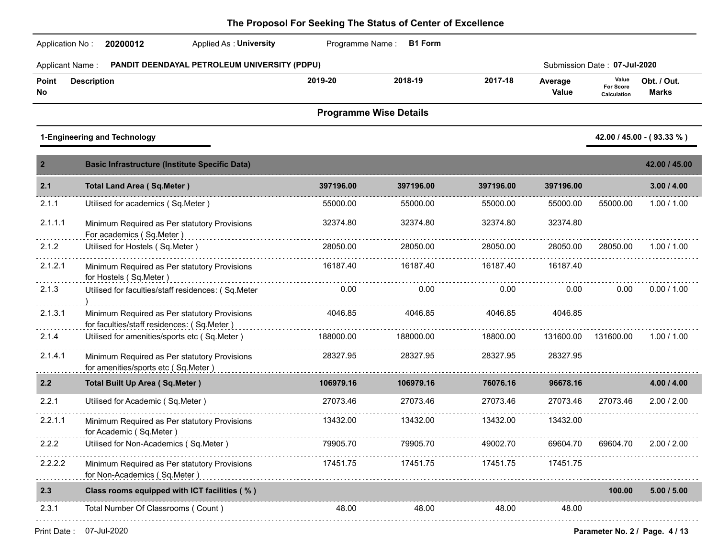| Application No:        | Applied As: University<br>20200012                                                         | Programme Name: | <b>B1 Form</b>                |           |                  |                                   |                             |
|------------------------|--------------------------------------------------------------------------------------------|-----------------|-------------------------------|-----------|------------------|-----------------------------------|-----------------------------|
| <b>Applicant Name:</b> | PANDIT DEENDAYAL PETROLEUM UNIVERSITY (PDPU)                                               |                 |                               |           |                  | Submission Date: 07-Jul-2020      |                             |
| Point<br>No            | <b>Description</b>                                                                         | 2019-20         | 2018-19                       | 2017-18   | Average<br>Value | Value<br>For Score<br>Calculation | Obt. / Out.<br><b>Marks</b> |
|                        |                                                                                            |                 | <b>Programme Wise Details</b> |           |                  |                                   |                             |
|                        | 1-Engineering and Technology                                                               |                 |                               |           |                  |                                   | 42.00 / 45.00 - (93.33 %)   |
| $\mathbf{2}$           | <b>Basic Infrastructure (Institute Specific Data)</b>                                      |                 |                               |           |                  |                                   | 42.00 / 45.00               |
| 2.1                    | <b>Total Land Area (Sq.Meter)</b>                                                          | 397196.00       | 397196.00                     | 397196.00 | 397196.00        |                                   | 3.00 / 4.00                 |
| 2.1.1                  | Utilised for academics (Sq.Meter)                                                          | 55000.00        | 55000.00                      | 55000.00  | 55000.00         | 55000.00                          | 1.00 / 1.00                 |
| 2.1.1.1                | Minimum Required as Per statutory Provisions<br>For academics (Sq.Meter)                   | 32374.80        | 32374.80                      | 32374.80  | 32374.80         |                                   |                             |
| 2.1.2                  | Utilised for Hostels (Sq.Meter)                                                            | 28050.00        | 28050.00                      | 28050.00  | 28050.00         | 28050.00                          | 1.00 / 1.00                 |
| 2.1.2.1                | Minimum Required as Per statutory Provisions<br>for Hostels (Sq.Meter)                     | 16187.40        | 16187.40                      | 16187.40  | 16187.40         |                                   |                             |
| 2.1.3                  | Utilised for faculties/staff residences: (Sq.Meter                                         | 0.00            | 0.00                          | 0.00      | 0.00             | 0.00                              | 0.00 / 1.00                 |
| 2.1.3.1                | Minimum Required as Per statutory Provisions<br>for faculties/staff residences: (Sq.Meter) | 4046.85         | 4046.85                       | 4046.85   | 4046.85          |                                   |                             |
| 2.1.4                  | Utilised for amenities/sports etc (Sq.Meter)                                               | 188000.00       | 188000.00                     | 18800.00  | 131600.00        | 131600.00                         | 1.00 / 1.00                 |
| 2.1.4.1                | Minimum Required as Per statutory Provisions<br>for amenities/sports etc (Sq.Meter)        | 28327.95        | 28327.95                      | 28327.95  | 28327.95         |                                   |                             |
| 2.2                    | <b>Total Built Up Area (Sq.Meter)</b>                                                      | 106979.16       | 106979.16                     | 76076.16  | 96678.16         |                                   | 4.00 / 4.00                 |
| 2.2.1                  | Utilised for Academic (Sq.Meter)                                                           | 27073.46        | 27073.46                      | 27073.46  | 27073.46         | 27073.46                          | 2.00 / 2.00                 |
| 2.2.1.1                | Minimum Required as Per statutory Provisions<br>for Academic (Sq.Meter)                    | 13432.00        | 13432.00                      | 13432.00  | 13432.00         |                                   |                             |
| 2.2.2                  | Utilised for Non-Academics (Sq.Meter)                                                      | 79905.70        | 79905.70                      | 49002.70  | 69604.70         | 69604.70                          | 2.00 / 2.00                 |
| 2.2.2.2                | Minimum Required as Per statutory Provisions<br>for Non-Academics (Sq.Meter)               | 17451.75        | 17451.75                      | 17451.75  | 17451.75         |                                   |                             |
| 2.3                    | Class rooms equipped with ICT facilities (%)                                               |                 |                               |           |                  | 100.00                            | 5.00 / 5.00                 |
| 2.3.1                  | Total Number Of Classrooms (Count)                                                         | 48.00           | 48.00                         | 48.00     | 48.00            |                                   |                             |
|                        |                                                                                            |                 |                               |           |                  |                                   |                             |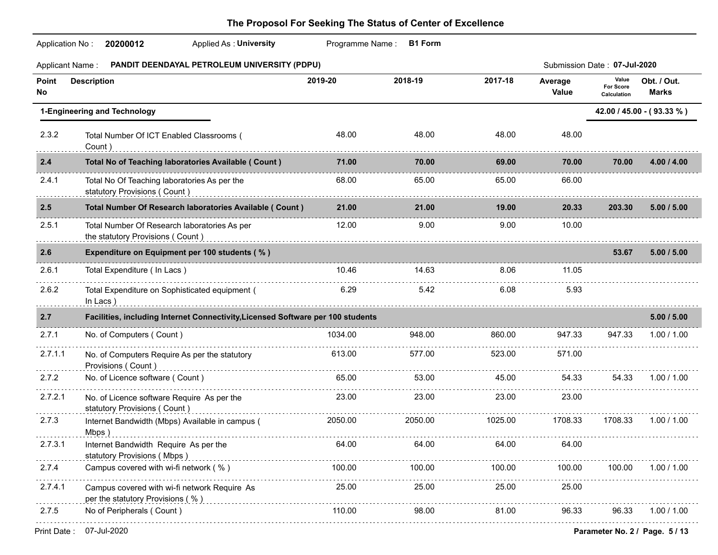| <b>Applicant Name:</b>       | PANDIT DEENDAYAL PETROLEUM UNIVERSITY (PDPU)                                     |         |         |         |                  | Submission Date: 07-Jul-2020      |                             |
|------------------------------|----------------------------------------------------------------------------------|---------|---------|---------|------------------|-----------------------------------|-----------------------------|
| Point<br>No                  | <b>Description</b>                                                               | 2019-20 | 2018-19 | 2017-18 | Average<br>Value | Value<br>For Score<br>Calculation | Obt. / Out.<br><b>Marks</b> |
| 1-Engineering and Technology |                                                                                  |         |         |         |                  |                                   | 42.00 / 45.00 - (93.33 %)   |
| 2.3.2                        | Total Number Of ICT Enabled Classrooms (<br>Count)                               | 48.00   | 48.00   | 48.00   | 48.00            |                                   |                             |
| 2.4                          | Total No of Teaching laboratories Available ( Count )                            | 71.00   | 70.00   | 69.00   | 70.00            | 70.00                             | 4.00 / 4.00                 |
| 2.4.1                        | Total No Of Teaching laboratories As per the<br>statutory Provisions (Count)     | 68.00   | 65.00   | 65.00   | 66.00            |                                   |                             |
| 2.5                          | Total Number Of Research laboratories Available ( Count )                        | 21.00   | 21.00   | 19.00   | 20.33            | 203.30                            | 5.00 / 5.00                 |
| 2.5.1                        | Total Number Of Research laboratories As per<br>the statutory Provisions (Count) | 12.00   | 9.00    | 9.00    | 10.00            |                                   |                             |
| 2.6                          | Expenditure on Equipment per 100 students (%)                                    |         |         |         |                  | 53.67                             | 5.00 / 5.00                 |
| 2.6.1                        | Total Expenditure (In Lacs)                                                      | 10.46   | 14.63   | 8.06    | 11.05            |                                   |                             |
| 2.6.2                        | Total Expenditure on Sophisticated equipment (<br>In Lacs)                       | 6.29    | 5.42    | 6.08    | 5.93             |                                   |                             |
| 2.7                          | Facilities, including Internet Connectivity, Licensed Software per 100 students  |         |         |         |                  |                                   | 5.00 / 5.00                 |
| 2.7.1                        | No. of Computers (Count)                                                         | 1034.00 | 948.00  | 860.00  | 947.33           | 947.33                            | 1.00 / 1.00                 |
| 2.7.1.1                      | No. of Computers Require As per the statutory<br>Provisions (Count)              | 613.00  | 577.00  | 523.00  | 571.00           |                                   |                             |
| 2.7.2                        | No. of Licence software (Count)                                                  | 65.00   | 53.00   | 45.00   | 54.33            | 54.33                             | 1.00 / 1.00                 |
| 2.7.2.1                      | No. of Licence software Require As per the<br>statutory Provisions (Count)       | 23.00   | 23.00   | 23.00   | 23.00            |                                   |                             |
| 2.7.3                        | Internet Bandwidth (Mbps) Available in campus (                                  | 2050.00 | 2050.00 | 1025.00 | 1708.33          | 1708.33                           | 1.00 / 1.00                 |
| 2.7.3.1                      | Internet Bandwidth Require As per the 64.00<br>statutory Provisions (Mbps)       |         | 64.00   | 64.00   | 64.00            |                                   |                             |
| 2.7.4                        | Campus covered with wi-fi network (%)                                            | 100.00  | 100.00  | 100.00  | 100.00           | 100.00                            | 1.00 / 1.00                 |
| 2.7.4.1                      | Campus covered with wi-fi network Require As<br>per the statutory Provisions (%) | 25.00   | 25.00   | 25.00   | 25.00            |                                   |                             |
| 2.7.5                        | No of Peripherals (Count)                                                        | 110.00  | 98.00   | 81.00   | 96.33            | 96.33                             | 1.00 / 1.00                 |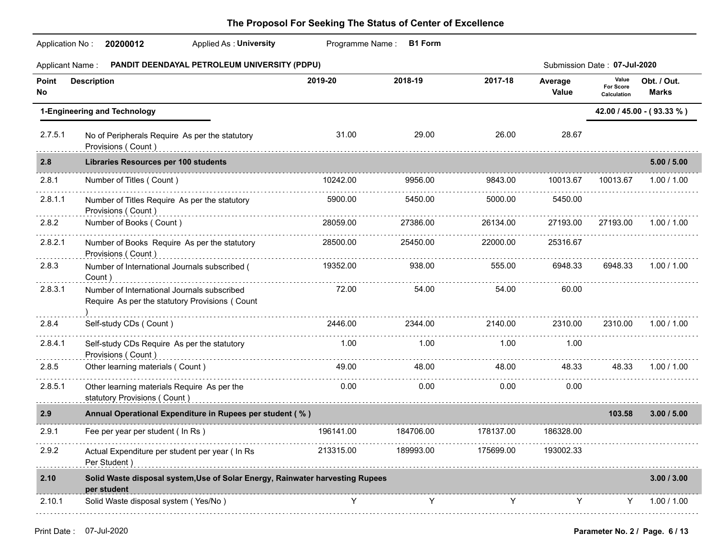| <b>Applicant Name:</b>       | PANDIT DEENDAYAL PETROLEUM UNIVERSITY (PDPU)                                                  |           |           |           |                  | Submission Date: 07-Jul-2020      |                             |  |
|------------------------------|-----------------------------------------------------------------------------------------------|-----------|-----------|-----------|------------------|-----------------------------------|-----------------------------|--|
| Point<br>No                  | <b>Description</b>                                                                            | 2019-20   | 2018-19   | 2017-18   | Average<br>Value | Value<br>For Score<br>Calculation | Obt. / Out.<br><b>Marks</b> |  |
| 1-Engineering and Technology |                                                                                               |           |           |           |                  | 42.00 / 45.00 - (93.33 %)         |                             |  |
| 2.7.5.1                      | No of Peripherals Require As per the statutory<br>Provisions (Count)                          | 31.00     | 29.00     | 26.00     | 28.67            |                                   |                             |  |
| 2.8                          | Libraries Resources per 100 students                                                          |           |           |           |                  |                                   | 5.00 / 5.00                 |  |
| 2.8.1                        | Number of Titles (Count)                                                                      | 10242.00  | 9956.00   | 9843.00   | 10013.67         | 10013.67                          | 1.00 / 1.00                 |  |
| 2.8.1.1                      | Number of Titles Require As per the statutory<br>Provisions (Count)                           | 5900.00   | 5450.00   | 5000.00   | 5450.00          |                                   |                             |  |
| 2.8.2                        | Number of Books (Count)                                                                       | 28059.00  | 27386.00  | 26134.00  | 27193.00         | 27193.00                          | 1.00 / 1.00                 |  |
| 2.8.2.1                      | Number of Books Require As per the statutory<br>Provisions (Count)                            | 28500.00  | 25450.00  | 22000.00  | 25316.67         |                                   |                             |  |
| 2.8.3                        | Number of International Journals subscribed (<br>Count)                                       | 19352.00  | 938.00    | 555.00    | 6948.33          | 6948.33                           | 1.00 / 1.00                 |  |
| 2.8.3.1                      | Number of International Journals subscribed<br>Require As per the statutory Provisions (Count | 72.00     | 54.00     | 54.00     | 60.00            |                                   |                             |  |
| 2.8.4                        | Self-study CDs (Count)                                                                        | 2446.00   | 2344.00   | 2140.00   | 2310.00          | 2310.00                           | 1.00 / 1.00                 |  |
| 2.8.4.1                      | Self-study CDs Require As per the statutory<br>Provisions (Count)                             | 1.00      | 1.00      | 1.00      | 1.00             |                                   |                             |  |
| 2.8.5                        | Other learning materials (Count)                                                              | 49.00     | 48.00     | 48.00     | 48.33            | 48.33                             | 1.00 / 1.00                 |  |
| 2.8.5.1                      | Other learning materials Require As per the<br>statutory Provisions (Count)                   | 0.00      | 0.00      | 0.00      | 0.00             |                                   |                             |  |
| 2.9                          | Annual Operational Expenditure in Rupees per student (%)                                      |           |           |           |                  | 103.58                            | 3.00 / 5.00                 |  |
| 2.9.1                        | Fee per year per student ( In Rs )                                                            | 196141.00 | 184706.00 | 178137.00 | 186328.00        |                                   |                             |  |
| 2.9.2                        | Actual Expenditure per student per year ( In Rs<br>Per Student)                               | 213315.00 | 189993.00 | 175699.00 | 193002.33        |                                   |                             |  |
| 2.10                         | Solid Waste disposal system, Use of Solar Energy, Rainwater harvesting Rupees<br>per student  |           |           |           |                  |                                   | 3.00 / 3.00                 |  |
| 2.10.1                       | Solid Waste disposal system (Yes/No)                                                          | Y         | Y         | Y         | Y                | Y                                 | 1.00 / 1.00                 |  |
|                              |                                                                                               |           |           |           |                  |                                   |                             |  |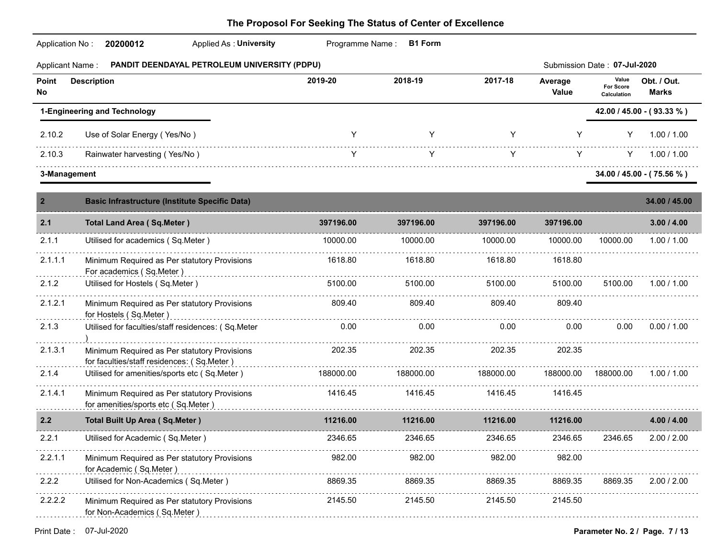| <b>Applicant Name:</b> | PANDIT DEENDAYAL PETROLEUM UNIVERSITY (PDPU)                                               |           |           |           |                  | Submission Date: 07-Jul-2020             |                             |
|------------------------|--------------------------------------------------------------------------------------------|-----------|-----------|-----------|------------------|------------------------------------------|-----------------------------|
| Point<br>No            | <b>Description</b>                                                                         | 2019-20   | 2018-19   | 2017-18   | Average<br>Value | Value<br><b>For Score</b><br>Calculation | Obt. / Out.<br><b>Marks</b> |
|                        | 1-Engineering and Technology                                                               |           |           |           |                  |                                          | 42.00 / 45.00 - (93.33 %)   |
| 2.10.2                 | Use of Solar Energy (Yes/No)                                                               | Y         | Y         | Y         | Y                | Y                                        | 1.00 / 1.00                 |
| 2.10.3                 | Rainwater harvesting (Yes/No)                                                              | Y         | Y         | Y         | Y                | Y.                                       | 1.00 / 1.00                 |
| 3-Management           |                                                                                            |           |           |           |                  |                                          | $34.00 / 45.00 - (75.56%)$  |
| $\overline{2}$         | <b>Basic Infrastructure (Institute Specific Data)</b>                                      |           |           |           |                  |                                          | 34.00 / 45.00               |
| 2.1                    | <b>Total Land Area (Sq.Meter)</b>                                                          | 397196.00 | 397196.00 | 397196.00 | 397196.00        |                                          | 3.00 / 4.00                 |
| 2.1.1                  | Utilised for academics (Sq.Meter)                                                          | 10000.00  | 10000.00  | 10000.00  | 10000.00         | 10000.00                                 | 1.00 / 1.00                 |
| 2.1.1.1                | Minimum Required as Per statutory Provisions<br>For academics (Sq.Meter)                   | 1618.80   | 1618.80   | 1618.80   | 1618.80          |                                          |                             |
| 2.1.2                  | Utilised for Hostels (Sq.Meter)                                                            | 5100.00   | 5100.00   | 5100.00   | 5100.00          | 5100.00                                  | 1.00 / 1.00                 |
| 2.1.2.1                | Minimum Required as Per statutory Provisions<br>for Hostels (Sq.Meter)                     | 809.40    | 809.40    | 809.40    | 809.40           |                                          |                             |
| 2.1.3                  | Utilised for faculties/staff residences: (Sq.Meter                                         | 0.00      | 0.00      | 0.00      | 0.00             | 0.00                                     | 0.00 / 1.00                 |
| 2.1.3.1                | Minimum Required as Per statutory Provisions<br>for faculties/staff residences: (Sq.Meter) | 202.35    | 202.35    | 202.35    | 202.35           |                                          |                             |
| 2.1.4                  | Utilised for amenities/sports etc (Sq.Meter)                                               | 188000.00 | 188000.00 | 188000.00 | 188000.00        | 188000.00                                | 1.00 / 1.00                 |
| 2.1.4.1                | Minimum Required as Per statutory Provisions<br>for amenities/sports etc (Sq.Meter)        | 1416.45   | 1416.45   | 1416.45   | 1416.45          |                                          |                             |
| 2.2                    | <b>Total Built Up Area (Sq.Meter)</b>                                                      | 11216.00  | 11216.00  | 11216.00  | 11216.00         |                                          | 4.00 / 4.00                 |
| 2.2.1                  | Utilised for Academic (Sq.Meter)                                                           | 2346.65   | 2346.65   | 2346.65   | 2346.65          | 2346.65                                  | 2.00 / 2.00                 |
| 2.2.1.1                | Minimum Required as Per statutory Provisions<br>for Academic (Sq.Meter)                    | 982.00    | 982.00    | 982.00    | 982.00           |                                          |                             |
| 2.2.2                  | Utilised for Non-Academics (Sq.Meter)                                                      | 8869.35   | 8869.35   | 8869.35   | 8869.35          | 8869.35                                  | 2.00 / 2.00                 |
| 2.2.2.2                | Minimum Required as Per statutory Provisions<br>for Non-Academics (Sq.Meter)               | 2145.50   | 2145.50   | 2145.50   | 2145.50          |                                          |                             |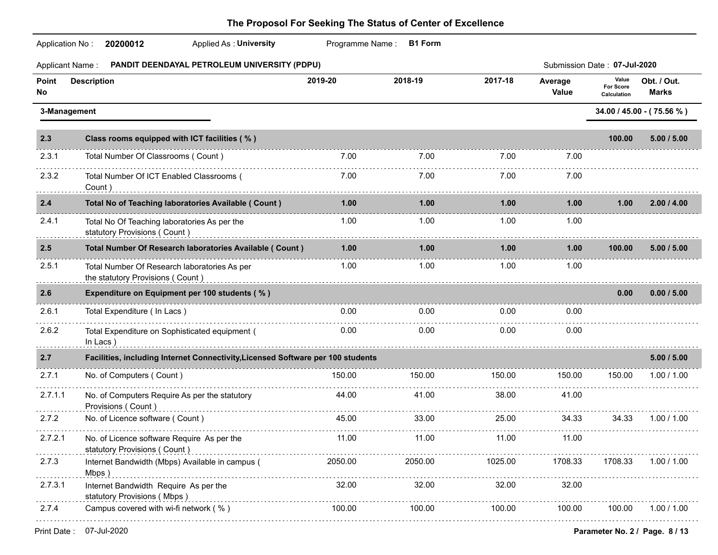|             | Applied As: University<br>20200012<br>Application No:                            |         | Programme Name: B1 Form |         |                              |                                          |                             |
|-------------|----------------------------------------------------------------------------------|---------|-------------------------|---------|------------------------------|------------------------------------------|-----------------------------|
|             | PANDIT DEENDAYAL PETROLEUM UNIVERSITY (PDPU)<br>Applicant Name:                  |         |                         |         | Submission Date: 07-Jul-2020 |                                          |                             |
| Point<br>No | <b>Description</b>                                                               | 2019-20 | 2018-19                 | 2017-18 | Average<br>Value             | Value<br><b>For Score</b><br>Calculation | Obt. / Out.<br><b>Marks</b> |
|             | 3-Management                                                                     |         |                         |         |                              |                                          | 34.00 / 45.00 - (75.56 %)   |
| 2.3         | Class rooms equipped with ICT facilities (%)                                     |         |                         |         |                              | 100.00                                   | 5.00 / 5.00                 |
| 2.3.1       | Total Number Of Classrooms (Count)                                               | 7.00    | 7.00                    | 7.00    | 7.00                         |                                          |                             |
| 2.3.2       | Total Number Of ICT Enabled Classrooms (<br>Count)                               | 7.00    | 7.00                    | 7.00    | 7.00                         |                                          |                             |
| 2.4         | Total No of Teaching laboratories Available ( Count )                            | 1.00    | 1.00                    | 1.00    | 1.00                         | 1.00                                     | 2.00 / 4.00                 |
| 2.4.1       | Total No Of Teaching laboratories As per the<br>statutory Provisions (Count)     | 1.00    | 1.00 <sub>1</sub>       | 1.00    | 1.00                         |                                          |                             |
| 2.5         | Total Number Of Research laboratories Available ( Count )                        | 1.00    | 1.00                    | 1.00    | 1.00                         | 100.00                                   | 5.00 / 5.00                 |
| 2.5.1       | Total Number Of Research laboratories As per<br>the statutory Provisions (Count) | 1.00    | 1.00                    | 1.00    | 1.00                         |                                          |                             |
| 2.6         | Expenditure on Equipment per 100 students (%)                                    |         |                         |         |                              | 0.00                                     | 0.00 / 5.00                 |
| 2.6.1       | Total Expenditure (In Lacs)                                                      | 0.00    | $0.00\,$                | 0.00    | 0.00                         |                                          |                             |
| 2.6.2       | Total Expenditure on Sophisticated equipment (<br>In Lacs)                       | 0.00    | 0.00                    | 0.00    | 0.00                         |                                          |                             |
| 2.7         | Facilities, including Internet Connectivity, Licensed Software per 100 students  |         |                         |         |                              |                                          | 5.00 / 5.00                 |
| 2.7.1       | No. of Computers (Count)                                                         | 150.00  | 150.00                  | 150.00  | 150.00                       | 150.00                                   | 1.00 / 1.00                 |
| 2.7.1.1     | No. of Computers Require As per the statutory<br>Provisions (Count)              | 44.00   | 41.00                   | 38.00   | 41.00                        |                                          |                             |
| 2.7.2       | No. of Licence software (Count)                                                  | 45.00   | 33.00                   | 25.00   | 34.33                        | 34.33                                    | 1.00 / 1.00                 |
| 2.7.2.1     | No. of Licence software Require As per the<br>statutory Provisions (Count)<br>.  | 11.00   | 11.00                   | 11.00   | 11.00                        |                                          |                             |
| 2.7.3<br>.  | Internet Bandwidth (Mbps) Available in campus (<br>Mbps)                         | 2050.00 | 2050.00                 | 1025.00 | 1708.33                      | 1708.33                                  | 1.00 / 1.00                 |
| 2.7.3.1     | Internet Bandwidth Require As per the<br>statutory Provisions (Mbps)             | 32.00   | 32.00                   | 32.00   | 32.00                        |                                          |                             |
| 2.7.4       | Campus covered with wi-fi network (%)                                            | 100.00  | 100.00                  | 100.00  | 100.00                       | 100.00                                   | 1.00 / 1.00                 |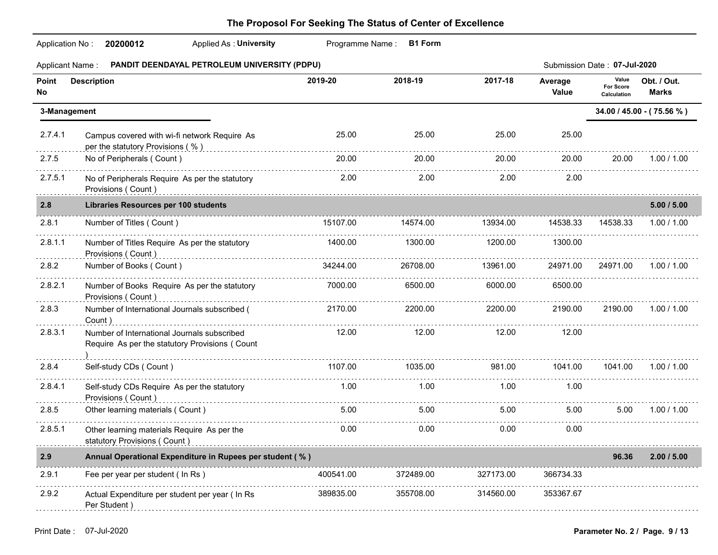|                  | Application No: 20200012<br><b>Applied As: University</b>                                     |           | Programme Name: B1 Form |           |                  |                                   |                             |
|------------------|-----------------------------------------------------------------------------------------------|-----------|-------------------------|-----------|------------------|-----------------------------------|-----------------------------|
| Applicant Name : | PANDIT DEENDAYAL PETROLEUM UNIVERSITY (PDPU)                                                  |           |                         |           |                  | Submission Date: 07-Jul-2020      |                             |
| Point<br>No      | <b>Description</b>                                                                            | 2019-20   | 2018-19                 | 2017-18   | Average<br>Value | Value<br>For Score<br>Calculation | Obt. / Out.<br><b>Marks</b> |
| 3-Management     |                                                                                               |           |                         |           |                  |                                   | 34.00 / 45.00 - (75.56 %)   |
| 2.7.4.1          | Campus covered with wi-fi network Require As<br>per the statutory Provisions (%)              | 25.00     | 25.00                   | 25.00     | 25.00            |                                   |                             |
| 2.7.5            | No of Peripherals (Count)                                                                     | 20.00     | 20.00                   | 20.00     | 20.00            | 20.00                             | 1.00 / 1.00                 |
| 2.7.5.1          | No of Peripherals Require As per the statutory<br>Provisions (Count)                          | 2.00      | 2.00                    | 2.00      | 2.00             |                                   |                             |
| 2.8              | <b>Libraries Resources per 100 students</b>                                                   |           |                         |           |                  |                                   | 5.00 / 5.00                 |
| 2.8.1            | Number of Titles (Count)                                                                      | 15107.00  | 14574.00                | 13934.00  | 14538.33         | 14538.33                          | 1.00 / 1.00                 |
| 2.8.1.1          | Number of Titles Require As per the statutory<br>Provisions (Count)                           | 1400.00   | 1300.00                 | 1200.00   | 1300.00          |                                   |                             |
| 2.8.2            | Number of Books (Count)                                                                       | 34244.00  | 26708.00                | 13961.00  | 24971.00         | 24971.00                          | 1.00 / 1.00                 |
| 2.8.2.1          | Number of Books Require As per the statutory<br>Provisions (Count)                            | 7000.00   | 6500.00                 | 6000.00   | 6500.00          |                                   |                             |
| 2.8.3            | Number of International Journals subscribed (<br>Count)                                       | 2170.00   | 2200.00                 | 2200.00   | 2190.00          | 2190.00                           | 1.00 / 1.00                 |
| 2.8.3.1          | Number of International Journals subscribed<br>Require As per the statutory Provisions (Count | 12.00     | 12.00                   | 12.00     | 12.00            |                                   |                             |
| 2.8.4            | Self-study CDs (Count)                                                                        | 1107.00   | 1035.00                 | 981.00    | 1041.00          | 1041.00                           | 1.00 / 1.00                 |
| 2.8.4.1          | Self-study CDs Require As per the statutory<br>Provisions (Count)                             | 1.00      | 1.00                    | 1.00      | 1.00             |                                   |                             |
| 2.8.5            | Other learning materials (Count)                                                              | 5.00      | 5.00                    | 5.00      | 5.00             | 5.00                              | 1.00 / 1.00                 |
| 2.8.5.1          | Other learning materials Require As per the<br>statutory Provisions (Count)                   | 0.00      | 0.00                    | 0.00      | 0.00             |                                   |                             |
| 2.9              | Annual Operational Expenditure in Rupees per student (%)                                      |           |                         |           |                  | 96.36                             | 2.00 / 5.00                 |
| 2.9.1            | Fee per year per student ( In Rs )                                                            | 400541.00 | 372489.00               | 327173.00 | 366734.33        |                                   |                             |
| 2.9.2            | .<br>Actual Expenditure per student per year ( In Rs<br>Per Student)                          | 389835.00 | 355708.00               | 314560.00 | 353367.67        |                                   |                             |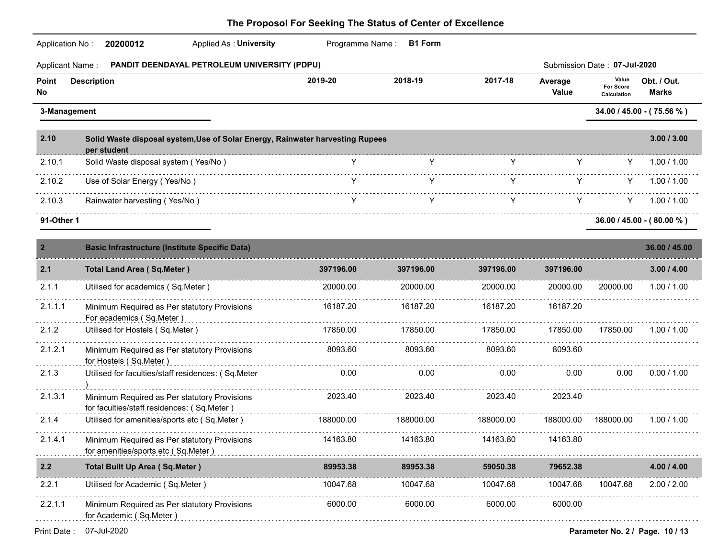| PANDIT DEENDAYAL PETROLEUM UNIVERSITY (PDPU)<br>Submission Date: 07-Jul-2020<br><b>Applicant Name:</b><br>Value<br>2019-20<br>2018-19<br>2017-18<br>Obt. / Out.<br><b>Description</b><br>Average<br>For Score<br><b>Marks</b><br>Value<br>Calculation<br>34.00 / 45.00 - (75.56 %)<br>3-Management<br>3.00 / 3.00<br>Solid Waste disposal system, Use of Solar Energy, Rainwater harvesting Rupees<br>per student<br>Y<br>Y<br>Solid Waste disposal system (Yes/No)<br>Y<br>1.00 / 1.00<br>Y<br>Y<br>Y<br>Use of Solar Energy (Yes/No)<br>Y<br>Y.<br>1.00 / 1.00<br>Y<br>Y<br>Rainwater harvesting (Yes/No)<br>Y<br>Y.<br>Y<br>1.00 / 1.00<br>91-Other 1<br>$36.00 / 45.00 - (80.00 %)$<br><b>Basic Infrastructure (Institute Specific Data)</b><br>36.00 / 45.00<br><b>Total Land Area (Sq.Meter)</b><br>397196.00<br>397196.00<br>397196.00<br>397196.00<br>3.00 / 4.00<br>Utilised for academics (Sq.Meter)<br>20000.00<br>20000.00<br>20000.00<br>20000.00<br>20000.00<br>1.00 / 1.00<br>16187.20<br>16187.20<br>16187.20<br>16187.20<br>Minimum Required as Per statutory Provisions<br>For academics (Sq.Meter)<br>17850.00<br>17850.00<br>Utilised for Hostels (Sq.Meter)<br>17850.00<br>17850.00<br>17850.00<br>1.00 / 1.00<br>8093.60<br>8093.60<br>8093.60<br>8093.60<br>Minimum Required as Per statutory Provisions<br>for Hostels (Sq.Meter)<br>0.00<br>0.00<br>0.00<br>0.00<br>0.00<br>0.00 / 1.00<br>Utilised for faculties/staff residences: (Sq.Meter<br>2023.40<br>2023.40<br>2023.40<br>2023.40<br>Minimum Required as Per statutory Provisions<br>for faculties/staff residences: (Sq.Meter)<br>.<br>Utilised for amenities/sports etc (Sq.Meter)<br>188000.00<br>188000.00<br>188000.00<br>188000.00<br>188000.00<br>1.00 / 1.00<br>14163.80<br>14163.80<br>14163.80<br>14163.80<br>Minimum Required as Per statutory Provisions<br>for amenities/sports etc (Sq.Meter)<br><b>Total Built Up Area (Sq.Meter)</b><br>89953.38<br>59050.38<br>79652.38<br>89953.38<br>4.00 / 4.00<br>Utilised for Academic (Sq.Meter)<br>10047.68<br>10047.68<br>10047.68<br>10047.68<br>10047.68<br>2.00 / 2.00<br>6000.00<br>6000.00<br>6000.00<br>6000.00<br>Minimum Required as Per statutory Provisions<br>for Academic (Sq.Meter) | Application No: | 20200012<br>Applied As: University | Programme Name: B1 Form |  |  |
|--------------------------------------------------------------------------------------------------------------------------------------------------------------------------------------------------------------------------------------------------------------------------------------------------------------------------------------------------------------------------------------------------------------------------------------------------------------------------------------------------------------------------------------------------------------------------------------------------------------------------------------------------------------------------------------------------------------------------------------------------------------------------------------------------------------------------------------------------------------------------------------------------------------------------------------------------------------------------------------------------------------------------------------------------------------------------------------------------------------------------------------------------------------------------------------------------------------------------------------------------------------------------------------------------------------------------------------------------------------------------------------------------------------------------------------------------------------------------------------------------------------------------------------------------------------------------------------------------------------------------------------------------------------------------------------------------------------------------------------------------------------------------------------------------------------------------------------------------------------------------------------------------------------------------------------------------------------------------------------------------------------------------------------------------------------------------------------------------------------------------------------------------------------------------------------------------------------------------------------------|-----------------|------------------------------------|-------------------------|--|--|
|                                                                                                                                                                                                                                                                                                                                                                                                                                                                                                                                                                                                                                                                                                                                                                                                                                                                                                                                                                                                                                                                                                                                                                                                                                                                                                                                                                                                                                                                                                                                                                                                                                                                                                                                                                                                                                                                                                                                                                                                                                                                                                                                                                                                                                            |                 |                                    |                         |  |  |
|                                                                                                                                                                                                                                                                                                                                                                                                                                                                                                                                                                                                                                                                                                                                                                                                                                                                                                                                                                                                                                                                                                                                                                                                                                                                                                                                                                                                                                                                                                                                                                                                                                                                                                                                                                                                                                                                                                                                                                                                                                                                                                                                                                                                                                            | Point<br>No     |                                    |                         |  |  |
|                                                                                                                                                                                                                                                                                                                                                                                                                                                                                                                                                                                                                                                                                                                                                                                                                                                                                                                                                                                                                                                                                                                                                                                                                                                                                                                                                                                                                                                                                                                                                                                                                                                                                                                                                                                                                                                                                                                                                                                                                                                                                                                                                                                                                                            |                 |                                    |                         |  |  |
|                                                                                                                                                                                                                                                                                                                                                                                                                                                                                                                                                                                                                                                                                                                                                                                                                                                                                                                                                                                                                                                                                                                                                                                                                                                                                                                                                                                                                                                                                                                                                                                                                                                                                                                                                                                                                                                                                                                                                                                                                                                                                                                                                                                                                                            | 2.10            |                                    |                         |  |  |
|                                                                                                                                                                                                                                                                                                                                                                                                                                                                                                                                                                                                                                                                                                                                                                                                                                                                                                                                                                                                                                                                                                                                                                                                                                                                                                                                                                                                                                                                                                                                                                                                                                                                                                                                                                                                                                                                                                                                                                                                                                                                                                                                                                                                                                            | 2.10.1          |                                    |                         |  |  |
|                                                                                                                                                                                                                                                                                                                                                                                                                                                                                                                                                                                                                                                                                                                                                                                                                                                                                                                                                                                                                                                                                                                                                                                                                                                                                                                                                                                                                                                                                                                                                                                                                                                                                                                                                                                                                                                                                                                                                                                                                                                                                                                                                                                                                                            | 2.10.2          |                                    |                         |  |  |
|                                                                                                                                                                                                                                                                                                                                                                                                                                                                                                                                                                                                                                                                                                                                                                                                                                                                                                                                                                                                                                                                                                                                                                                                                                                                                                                                                                                                                                                                                                                                                                                                                                                                                                                                                                                                                                                                                                                                                                                                                                                                                                                                                                                                                                            | 2.10.3          |                                    |                         |  |  |
|                                                                                                                                                                                                                                                                                                                                                                                                                                                                                                                                                                                                                                                                                                                                                                                                                                                                                                                                                                                                                                                                                                                                                                                                                                                                                                                                                                                                                                                                                                                                                                                                                                                                                                                                                                                                                                                                                                                                                                                                                                                                                                                                                                                                                                            |                 |                                    |                         |  |  |
|                                                                                                                                                                                                                                                                                                                                                                                                                                                                                                                                                                                                                                                                                                                                                                                                                                                                                                                                                                                                                                                                                                                                                                                                                                                                                                                                                                                                                                                                                                                                                                                                                                                                                                                                                                                                                                                                                                                                                                                                                                                                                                                                                                                                                                            | $\overline{2}$  |                                    |                         |  |  |
|                                                                                                                                                                                                                                                                                                                                                                                                                                                                                                                                                                                                                                                                                                                                                                                                                                                                                                                                                                                                                                                                                                                                                                                                                                                                                                                                                                                                                                                                                                                                                                                                                                                                                                                                                                                                                                                                                                                                                                                                                                                                                                                                                                                                                                            | 2.1             |                                    |                         |  |  |
|                                                                                                                                                                                                                                                                                                                                                                                                                                                                                                                                                                                                                                                                                                                                                                                                                                                                                                                                                                                                                                                                                                                                                                                                                                                                                                                                                                                                                                                                                                                                                                                                                                                                                                                                                                                                                                                                                                                                                                                                                                                                                                                                                                                                                                            | 2.1.1           |                                    |                         |  |  |
|                                                                                                                                                                                                                                                                                                                                                                                                                                                                                                                                                                                                                                                                                                                                                                                                                                                                                                                                                                                                                                                                                                                                                                                                                                                                                                                                                                                                                                                                                                                                                                                                                                                                                                                                                                                                                                                                                                                                                                                                                                                                                                                                                                                                                                            | 2.1.1.1         |                                    |                         |  |  |
|                                                                                                                                                                                                                                                                                                                                                                                                                                                                                                                                                                                                                                                                                                                                                                                                                                                                                                                                                                                                                                                                                                                                                                                                                                                                                                                                                                                                                                                                                                                                                                                                                                                                                                                                                                                                                                                                                                                                                                                                                                                                                                                                                                                                                                            | 2.1.2           |                                    |                         |  |  |
|                                                                                                                                                                                                                                                                                                                                                                                                                                                                                                                                                                                                                                                                                                                                                                                                                                                                                                                                                                                                                                                                                                                                                                                                                                                                                                                                                                                                                                                                                                                                                                                                                                                                                                                                                                                                                                                                                                                                                                                                                                                                                                                                                                                                                                            | 2.1.2.1         |                                    |                         |  |  |
|                                                                                                                                                                                                                                                                                                                                                                                                                                                                                                                                                                                                                                                                                                                                                                                                                                                                                                                                                                                                                                                                                                                                                                                                                                                                                                                                                                                                                                                                                                                                                                                                                                                                                                                                                                                                                                                                                                                                                                                                                                                                                                                                                                                                                                            | 2.1.3           |                                    |                         |  |  |
|                                                                                                                                                                                                                                                                                                                                                                                                                                                                                                                                                                                                                                                                                                                                                                                                                                                                                                                                                                                                                                                                                                                                                                                                                                                                                                                                                                                                                                                                                                                                                                                                                                                                                                                                                                                                                                                                                                                                                                                                                                                                                                                                                                                                                                            | 2.1.3.1         |                                    |                         |  |  |
|                                                                                                                                                                                                                                                                                                                                                                                                                                                                                                                                                                                                                                                                                                                                                                                                                                                                                                                                                                                                                                                                                                                                                                                                                                                                                                                                                                                                                                                                                                                                                                                                                                                                                                                                                                                                                                                                                                                                                                                                                                                                                                                                                                                                                                            | 2.1.4           |                                    |                         |  |  |
|                                                                                                                                                                                                                                                                                                                                                                                                                                                                                                                                                                                                                                                                                                                                                                                                                                                                                                                                                                                                                                                                                                                                                                                                                                                                                                                                                                                                                                                                                                                                                                                                                                                                                                                                                                                                                                                                                                                                                                                                                                                                                                                                                                                                                                            | 2.1.4.1         |                                    |                         |  |  |
|                                                                                                                                                                                                                                                                                                                                                                                                                                                                                                                                                                                                                                                                                                                                                                                                                                                                                                                                                                                                                                                                                                                                                                                                                                                                                                                                                                                                                                                                                                                                                                                                                                                                                                                                                                                                                                                                                                                                                                                                                                                                                                                                                                                                                                            | 2.2             |                                    |                         |  |  |
|                                                                                                                                                                                                                                                                                                                                                                                                                                                                                                                                                                                                                                                                                                                                                                                                                                                                                                                                                                                                                                                                                                                                                                                                                                                                                                                                                                                                                                                                                                                                                                                                                                                                                                                                                                                                                                                                                                                                                                                                                                                                                                                                                                                                                                            | 2.2.1           |                                    |                         |  |  |
|                                                                                                                                                                                                                                                                                                                                                                                                                                                                                                                                                                                                                                                                                                                                                                                                                                                                                                                                                                                                                                                                                                                                                                                                                                                                                                                                                                                                                                                                                                                                                                                                                                                                                                                                                                                                                                                                                                                                                                                                                                                                                                                                                                                                                                            | 2.2.1.1         |                                    |                         |  |  |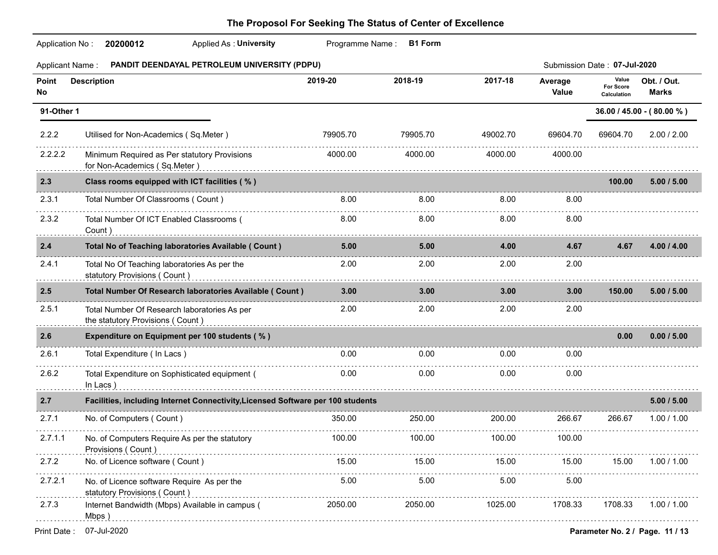| <b>Applicant Name:</b> | PANDIT DEENDAYAL PETROLEUM UNIVERSITY (PDPU)                                                                                                                                                                                                                                   |          |          |          |                  | Submission Date: 07-Jul-2020      |                                 |
|------------------------|--------------------------------------------------------------------------------------------------------------------------------------------------------------------------------------------------------------------------------------------------------------------------------|----------|----------|----------|------------------|-----------------------------------|---------------------------------|
| Point<br>No            | <b>Description</b>                                                                                                                                                                                                                                                             | 2019-20  | 2018-19  | 2017-18  | Average<br>Value | Value<br>For Score<br>Calculation | Obt. / Out.<br><b>Marks</b>     |
| 91-Other 1             |                                                                                                                                                                                                                                                                                |          |          |          |                  |                                   | 36.00 / 45.00 - (80.00 %)       |
| 2.2.2                  | Utilised for Non-Academics (Sq.Meter)                                                                                                                                                                                                                                          | 79905.70 | 79905.70 | 49002.70 | 69604.70         | 69604.70                          | 2.00 / 2.00                     |
| 2.2.2.2                | Minimum Required as Per statutory Provisions<br>for Non-Academics (Sq.Meter)                                                                                                                                                                                                   | 4000.00  | 4000.00  | 4000.00  | 4000.00          |                                   |                                 |
| 2.3                    | Class rooms equipped with ICT facilities (%)                                                                                                                                                                                                                                   |          |          |          |                  | 100.00                            | 5.00 / 5.00                     |
| 2.3.1                  | Total Number Of Classrooms (Count)                                                                                                                                                                                                                                             | 8.00     | 8.00     | 8.00     | 8.00             |                                   |                                 |
| 2.3.2                  | Total Number Of ICT Enabled Classrooms (<br>Count)                                                                                                                                                                                                                             | 8.00     | 8.00     | 8.00     | 8.00             |                                   |                                 |
| 2.4                    | Total No of Teaching laboratories Available ( Count )                                                                                                                                                                                                                          | 5.00     | 5.00     | 4.00     | 4.67             | 4.67                              | 4.00 / 4.00                     |
| 2.4.1                  | Total No Of Teaching laboratories As per the<br>statutory Provisions (Count) example and the control of the control of the control of the control of the control of the control of the control of the control of the control of the control of the control of the control of t | 2.00     | 2.00     | 2.00     | 2.00             |                                   |                                 |
| 2.5                    | Total Number Of Research laboratories Available ( Count )                                                                                                                                                                                                                      | 3.00     | 3.00     | 3.00     | 3.00             | 150.00                            | 5.00 / 5.00                     |
| 2.5.1                  | Total Number Of Research laboratories As per<br>the statutory Provisions (Count)                                                                                                                                                                                               | 2.00     | 2.00     | 2.00     | 2.00             |                                   |                                 |
| 2.6                    | <b>Expenditure on Equipment per 100 students (%)</b><br>.                                                                                                                                                                                                                      |          |          |          |                  | 0.00                              | 0.00 / 5.00                     |
| 2.6.1                  | Total Expenditure (In Lacs)                                                                                                                                                                                                                                                    | 0.00     | 0.00     | 0.00     | 0.00             |                                   |                                 |
| 2.6.2                  | Total Expenditure on Sophisticated equipment (<br>In Lacs)                                                                                                                                                                                                                     | 0.00     | 0.00     | 0.00     | 0.00             |                                   |                                 |
| 2.7                    | Facilities, including Internet Connectivity, Licensed Software per 100 students                                                                                                                                                                                                |          |          |          |                  |                                   | 5.00 / 5.00                     |
| 2.7.1                  | No. of Computers (Count)                                                                                                                                                                                                                                                       | 350.00   | 250.00   | 200.00   | 266.67           | 266.67                            | 1.00 / 1.00                     |
| 2.7.1.1                | No. of Computers Require As per the statutory<br>Provisions (Count)                                                                                                                                                                                                            | 100.00   | 100.00   | 100.00   | 100.00           |                                   |                                 |
| 2.7.2                  | No. of Licence software (Count)                                                                                                                                                                                                                                                | 15.00    | 15.00    | 15.00    | 15.00            | 15.00                             | 1.00 / 1.00                     |
| 2.7.2.1                | No. of Licence software Require As per the<br>statutory Provisions (Count)                                                                                                                                                                                                     | 5.00     | 5.00     | 5.00     | 5.00             |                                   |                                 |
| 2.7.3                  | Internet Bandwidth (Mbps) Available in campus (<br>Mbps)                                                                                                                                                                                                                       | 2050.00  | 2050.00  | 1025.00  | 1708.33          | 1708.33                           | 1.00 / 1.00                     |
| Print Date:            | 07-Jul-2020                                                                                                                                                                                                                                                                    |          |          |          |                  |                                   | Parameter No. 2 / Page. 11 / 13 |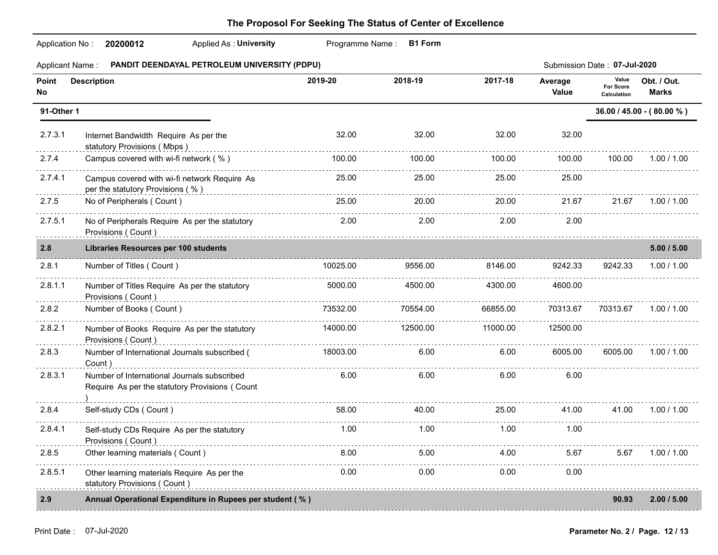| Application No:        | 20200012<br><b>Applied As: University</b>                                                     | Programme Name: | <b>B1 Form</b> |          |                  |                                          |                             |
|------------------------|-----------------------------------------------------------------------------------------------|-----------------|----------------|----------|------------------|------------------------------------------|-----------------------------|
| <b>Applicant Name:</b> | PANDIT DEENDAYAL PETROLEUM UNIVERSITY (PDPU)                                                  |                 |                |          |                  | Submission Date: 07-Jul-2020             |                             |
| Point<br>No            | <b>Description</b>                                                                            | 2019-20         | 2018-19        | 2017-18  | Average<br>Value | Value<br><b>For Score</b><br>Calculation | Obt. / Out.<br><b>Marks</b> |
| 91-Other 1             |                                                                                               |                 |                |          |                  |                                          | 36.00 / 45.00 - (80.00 %)   |
| 2.7.3.1                | Internet Bandwidth Require As per the<br>statutory Provisions (Mbps)                          | 32.00           | 32.00          | 32.00    | 32.00            |                                          |                             |
| 2.7.4                  | Campus covered with wi-fi network (%)                                                         | 100.00          | 100.00         | 100.00   | 100.00           | 100.00                                   | 1.00 / 1.00                 |
| 2.7.4.1                | Campus covered with wi-fi network Require As<br>per the statutory Provisions (%)              | 25.00           | 25.00          | 25.00    | 25.00            |                                          |                             |
| 2.7.5                  | No of Peripherals (Count)                                                                     | 25.00           | 20.00          | 20.00    | 21.67            | 21.67                                    | 1.00 / 1.00                 |
| 2.7.5.1                | No of Peripherals Require As per the statutory<br>Provisions (Count)                          | 2.00            | 2.00           | 2.00     | 2.00             |                                          |                             |
| 2.8                    | <b>Libraries Resources per 100 students</b>                                                   |                 |                |          |                  |                                          | 5.00 / 5.00                 |
| 2.8.1                  | Number of Titles (Count)                                                                      | 10025.00        | 9556.00        | 8146.00  | 9242.33          | 9242.33                                  | 1.00 / 1.00                 |
| 2.8.1.1                | Number of Titles Require As per the statutory<br>Provisions (Count)                           | 5000.00         | 4500.00        | 4300.00  | 4600.00          |                                          |                             |
| 2.8.2                  | Number of Books (Count)                                                                       | 73532.00        | 70554.00       | 66855.00 | 70313.67         | 70313.67                                 | 1.00 / 1.00                 |
| 2.8.2.1                | Number of Books Require As per the statutory<br>Provisions (Count)                            | 14000.00        | 12500.00       | 11000.00 | 12500.00         |                                          |                             |
| 2.8.3                  | Number of International Journals subscribed (<br>Count)                                       | 18003.00        | 6.00           | 6.00     | 6005.00          | 6005.00                                  | 1.00 / 1.00                 |
| 2.8.3.1                | Number of International Journals subscribed<br>Require As per the statutory Provisions (Count | 6.00            | 6.00           | 6.00     | 6.00             |                                          |                             |
| 2.8.4                  | Self-study CDs (Count)                                                                        | 58.00           | 40.00          | 25.00    | 41.00            | 41.00                                    | 1.00 / 1.00                 |
| 2.8.4.1                | Self-study CDs Require As per the statutory<br>Provisions (Count)                             | 1.00            | 1.00           | 1.00     | 1.00             |                                          |                             |
| 2.8.5                  | Other learning materials (Count)                                                              | 8.00            | 5.00           | 4.00     | 5.67             | 5.67                                     | 1.00 / 1.00                 |
| 2.8.5.1                | Other learning materials Require As per the<br>statutory Provisions (Count)                   | 0.00            | 0.00           | 0.00     | 0.00             |                                          |                             |
| 2.9                    | Annual Operational Expenditure in Rupees per student (%)                                      |                 |                |          |                  | 90.93                                    | 2.00 / 5.00                 |
|                        |                                                                                               |                 |                |          |                  |                                          |                             |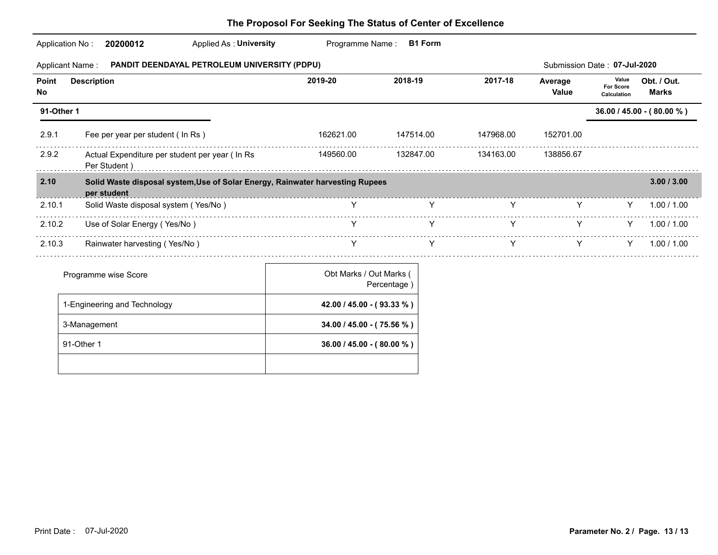|             | Applied As: University<br>Application No:<br>20200012           | Programme Name:                                                               | <b>B1 Form</b> |           |                              |                                          |                             |
|-------------|-----------------------------------------------------------------|-------------------------------------------------------------------------------|----------------|-----------|------------------------------|------------------------------------------|-----------------------------|
|             | Applicant Name : PANDIT DEENDAYAL PETROLEUM UNIVERSITY (PDPU)   |                                                                               |                |           | Submission Date: 07-Jul-2020 |                                          |                             |
| Point<br>No | <b>Description</b>                                              | 2019-20                                                                       | 2018-19        | 2017-18   | Average<br><b>Value</b>      | Value<br><b>For Score</b><br>Calculation | Obt. / Out.<br><b>Marks</b> |
| 91-Other 1  |                                                                 |                                                                               |                |           |                              |                                          | 36.00 / 45.00 - (80.00 %)   |
| 2.9.1       | Fee per year per student ( In Rs )                              | 162621.00                                                                     | 147514.00      | 147968.00 | 152701.00                    |                                          |                             |
| 2.9.2       | Actual Expenditure per student per year ( In Rs<br>Per Student) | 149560.00                                                                     | 132847.00      | 134163.00 | 138856.67                    |                                          |                             |
| 2.10        | per student                                                     | Solid Waste disposal system, Use of Solar Energy, Rainwater harvesting Rupees |                |           |                              |                                          | 3.00 / 3.00                 |
| 2.10.1      | Solid Waste disposal system (Yes/No)                            | $\gamma$ and $\gamma$                                                         |                | Y         | Y                            | Y -                                      | 1.00 / 1.00                 |
| 2.10.2      | Use of Solar Energy (Yes/No)                                    | Y                                                                             | Y              | Y         | Y                            | Y.                                       | 1.00 / 1.00                 |
| 2.10.3      | Rainwater harvesting (Yes/No)                                   |                                                                               |                |           |                              | Y –                                      | 1.00 / 1.00                 |
|             | Programme wise Score                                            | Obt Marks / Out Marks (                                                       | Percentage)    |           |                              |                                          |                             |
|             | 1-Engineering and Technology                                    | 42.00 / 45.00 - (93.33 %)                                                     |                |           |                              |                                          |                             |
|             | 3-Management                                                    | 34.00 / 45.00 - (75.56 %)                                                     |                |           |                              |                                          |                             |
|             | 91-Other 1                                                      | $36.00 / 45.00 - (80.00 %)$                                                   |                |           |                              |                                          |                             |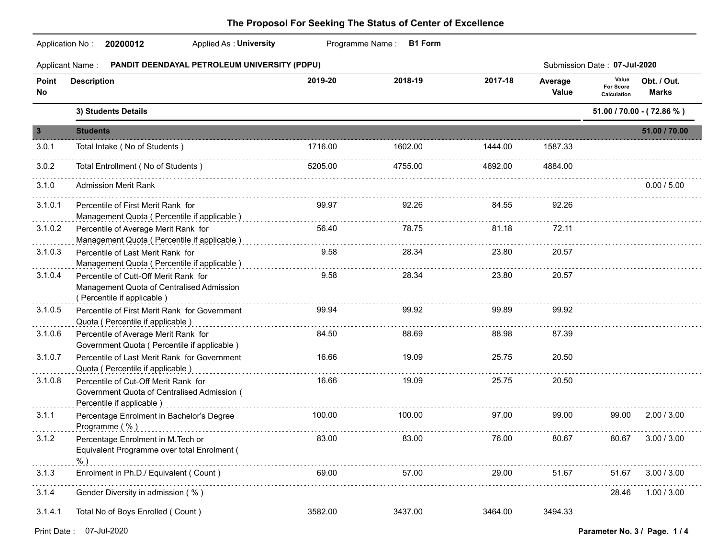|                         | Applied As: University<br>Application No: 20200012                                                               |         | Programme Name: B1 Form |         |                  |                                          |                             |
|-------------------------|------------------------------------------------------------------------------------------------------------------|---------|-------------------------|---------|------------------|------------------------------------------|-----------------------------|
|                         | Applicant Name: PANDIT DEENDAYAL PETROLEUM UNIVERSITY (PDPU)                                                     |         |                         |         |                  | Submission Date: 07-Jul-2020             |                             |
| Point<br>No             | <b>Description</b>                                                                                               | 2019-20 | 2018-19                 | 2017-18 | Average<br>Value | Value<br><b>For Score</b><br>Calculation | Obt. / Out.<br><b>Marks</b> |
|                         | 3) Students Details                                                                                              |         |                         |         |                  |                                          | 51.00 / 70.00 - (72.86 %)   |
| $\overline{\mathbf{3}}$ | <b>Students</b>                                                                                                  |         |                         |         |                  |                                          | 51.00 / 70.00               |
| 3.0.1                   | Total Intake (No of Students)                                                                                    | 1716.00 | 1602.00                 | 1444.00 | 1587.33          |                                          |                             |
| 3.0.2                   | Total Entrollment (No of Students)                                                                               | 5205.00 | 4755.00                 | 4692.00 | 4884.00          |                                          |                             |
| 3.1.0                   | <b>Admission Merit Rank</b>                                                                                      |         |                         |         |                  |                                          | 0.00 / 5.00                 |
| 3.1.0.1                 | Percentile of First Merit Rank for<br>Management Quota (Percentile if applicable)                                | 99.97   | 92.26                   | 84.55   | 92.26            |                                          |                             |
| 3.1.0.2                 | Percentile of Average Merit Rank for<br>Management Quota ( Percentile if applicable )                            | 56.40   | 78.75                   | 81.18   | 72.11            |                                          |                             |
| 3.1.0.3                 | Percentile of Last Merit Rank for<br>Management Quota ( Percentile if applicable )                               | 9.58    | 28.34                   | 23.80   | 20.57            |                                          |                             |
| 3.1.0.4                 | Percentile of Cutt-Off Merit Rank for<br>Management Quota of Centralised Admission<br>(Percentile if applicable) | 9.58    | 28.34                   | 23.80   | 20.57            |                                          |                             |
| 3.1.0.5                 | Percentile of First Merit Rank for Government<br>Quota ( Percentile if applicable )                              | 99.94   | 99.92                   | 99.89   | 99.92            |                                          |                             |
| 3.1.0.6                 | Percentile of Average Merit Rank for<br>Government Quota (Percentile if applicable)                              | 84.50   | 88.69                   | 88.98   | 87.39            |                                          |                             |
| 3.1.0.7                 | Percentile of Last Merit Rank for Government<br>Quota ( Percentile if applicable )                               | 16.66   | 19.09                   | 25.75   | 20.50            |                                          |                             |
| 3.1.0.8                 | Percentile of Cut-Off Merit Rank for<br>Government Quota of Centralised Admission (<br>Percentile if applicable) | 16.66   | 19.09                   | 25.75   | 20.50            |                                          |                             |
| 3.1.1                   | Percentage Enrolment in Bachelor's Degree<br>Programme (%)                                                       | 100.00  | 100.00                  | 97.00   | 99.00            | 99.00                                    | 2.00 / 3.00                 |
| 3.1.2                   | Percentage Enrolment in M. Tech or<br>Equivalent Programme over total Enrolment (<br>$%$ )                       | 83.00   | 83.00                   | 76.00   | 80.67            | 80.67                                    | 3.00 / 3.00                 |
| 3.1.3                   | Enrolment in Ph.D./ Equivalent ( Count )                                                                         | 69.00   | 57.00                   | 29.00   | 51.67            | 51.67                                    | 3.00 / 3.00                 |
| 3.1.4                   | Gender Diversity in admission (%)                                                                                |         |                         |         |                  | 28.46                                    | 1.00 / 3.00                 |
| 3.1.4.1                 | Total No of Boys Enrolled (Count)                                                                                | 3582.00 | 3437.00                 | 3464.00 | 3494.33          |                                          |                             |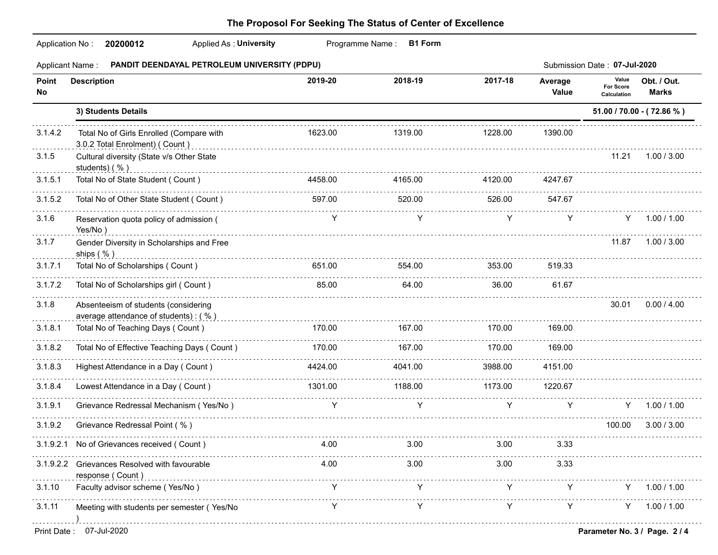|                        | <b>Applied As: University</b><br>Programme Name:<br><b>B1 Form</b><br>Application No:<br>20200012 |         |             |             |                  |                                   |                             |  |  |  |
|------------------------|---------------------------------------------------------------------------------------------------|---------|-------------|-------------|------------------|-----------------------------------|-----------------------------|--|--|--|
| <b>Applicant Name:</b> | PANDIT DEENDAYAL PETROLEUM UNIVERSITY (PDPU)                                                      |         |             |             |                  | Submission Date: 07-Jul-2020      |                             |  |  |  |
| Point<br>No.           | <b>Description</b>                                                                                | 2019-20 | 2018-19     | 2017-18     | Average<br>Value | Value<br>For Score<br>Calculation | Obt. / Out.<br><b>Marks</b> |  |  |  |
|                        | 3) Students Details                                                                               |         |             |             |                  |                                   | 51.00 / 70.00 - (72.86 %)   |  |  |  |
| 3.1.4.2                | Total No of Girls Enrolled (Compare with<br>3.0.2 Total Enrolment) ( Count )                      | 1623.00 | 1319.00     | 1228.00     | 1390.00          |                                   |                             |  |  |  |
| 3.1.5                  | Cultural diversity (State v/s Other State<br>students) (%)                                        |         |             |             |                  | 11.21                             | 1.00 / 3.00                 |  |  |  |
| 3.1.5.1                | Total No of State Student (Count)                                                                 | 4458.00 | 4165.00     | 4120.00     | 4247.67          |                                   |                             |  |  |  |
| 3.1.5.2                | Total No of Other State Student ( Count )                                                         | 597.00  | .<br>520.00 | .<br>526.00 | 547.67           |                                   |                             |  |  |  |
| 3.1.6                  | Reservation quota policy of admission (<br>Yes/No)                                                | Y       | Y           | Y           | Y                | Y -                               | 1.00 / 1.00                 |  |  |  |
| 3.1.7                  | Gender Diversity in Scholarships and Free<br>ships $( %)$                                         |         |             |             |                  | 11.87                             | 1.00 / 3.00                 |  |  |  |
| 3.1.7.1                | Total No of Scholarships (Count)                                                                  | 651.00  | 554.00      | 353.00      | 519.33           |                                   |                             |  |  |  |
| 3.1.7.2                | Total No of Scholarships girl (Count)                                                             | 85.00   | 64.00       | 36.00       | 61.67            |                                   |                             |  |  |  |
| 3.1.8                  | Absenteeism of students (considering<br>average attendance of students): (%)                      |         |             |             |                  | 30.01                             | 0.00 / 4.00                 |  |  |  |
| 3.1.8.1                | Total No of Teaching Days (Count)                                                                 | 170.00  | 167.00      | 170.00      | 169.00           |                                   |                             |  |  |  |
| 3.1.8.2                | .<br>Total No of Effective Teaching Days ( Count )                                                | 170.00  | 167.00      | 170.00      | 169.00           |                                   |                             |  |  |  |
| 3.1.8.3                | Highest Attendance in a Day (Count)                                                               | 4424.00 | 4041.00     | 3988.00     | 4151.00          |                                   |                             |  |  |  |
| 3.1.8.4                | Lowest Attendance in a Day (Count)                                                                | 1301.00 | 1188.00     | 1173.00     | 1220.67          |                                   |                             |  |  |  |
| 3.1.9.1                | Grievance Redressal Mechanism (Yes/No)                                                            | Y       | Y           | Y           | Y                | Y                                 | 1.00 / 1.00                 |  |  |  |
| 3.1.9.2                | Grievance Redressal Point (%)                                                                     |         |             |             |                  | 100.00                            | 3.00 / 3.00                 |  |  |  |
|                        | 3.1.9.2.1 No of Grievances received (Count)                                                       | 4.00    | 3.00        | 3.00        | 3.33             |                                   |                             |  |  |  |
| 3.1.9.2.2              | Grievances Resolved with favourable<br>response (Count)                                           | 4.00    | 3.00        | 3.00        | 3.33             |                                   |                             |  |  |  |
| 3.1.10                 | Faculty advisor scheme (Yes/No)                                                                   | Y       |             | Y           | Y                | Y.                                | 1.00 / 1.00                 |  |  |  |
| 3.1.11                 | Meeting with students per semester (Yes/No                                                        |         |             | Y           | Y                | Y                                 | 1.00 / 1.00                 |  |  |  |
| Print Date:            | 07-Jul-2020                                                                                       |         |             |             |                  | Parameter No. 3 / Page. 2 / 4     |                             |  |  |  |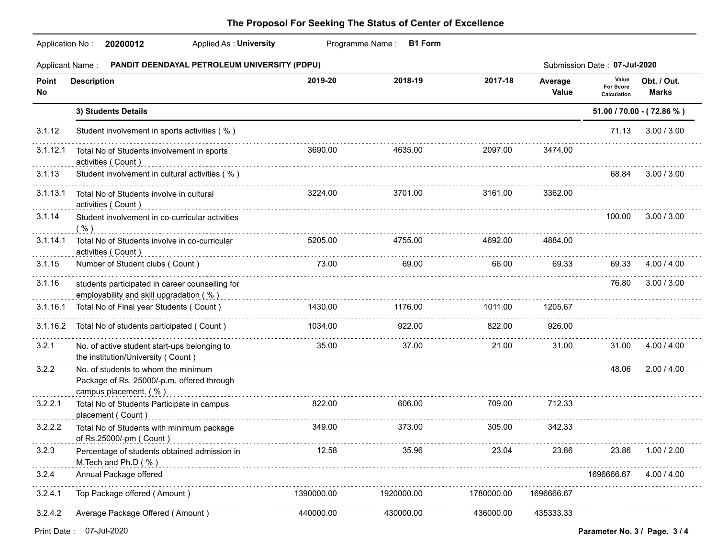|             | <b>Applied As: University</b><br>Application No: 20200012                                                                                                                                                                                                                         |            | Programme Name: B1 Form |            |                  |                                          |                           |
|-------------|-----------------------------------------------------------------------------------------------------------------------------------------------------------------------------------------------------------------------------------------------------------------------------------|------------|-------------------------|------------|------------------|------------------------------------------|---------------------------|
|             | Applicant Name : PANDIT DEENDAYAL PETROLEUM UNIVERSITY (PDPU)                                                                                                                                                                                                                     |            |                         |            |                  | Submission Date: 07-Jul-2020             |                           |
| Point<br>No | <b>Description</b>                                                                                                                                                                                                                                                                | 2019-20    | 2018-19                 | 2017-18    | Average<br>Value | Value<br><b>For Score</b><br>Calculation | Obt. / Out.<br>Marks      |
|             | 3) Students Details                                                                                                                                                                                                                                                               |            |                         |            |                  |                                          | 51.00 / 70.00 - (72.86 %) |
| 3.1.12      | Student involvement in sports activities (%)                                                                                                                                                                                                                                      |            |                         |            |                  | 71.13                                    | 3.00 / 3.00               |
| 3.1.12.1    | Total No of Students involvement in sports<br>activities (Count)                                                                                                                                                                                                                  | 3690.00    | 4635.00                 | 2097.00    | 3474.00          |                                          |                           |
| 3.1.13      | Student involvement in cultural activities (%)                                                                                                                                                                                                                                    |            |                         |            |                  |                                          | 68.84 3.00 / 3.00         |
| 3.1.13.1    | Total No of Students involve in cultural<br>activities (Count)                                                                                                                                                                                                                    | 3224.00    | 3701.00                 | 3161.00    | 3362.00          |                                          |                           |
| 3.1.14      | Student involvement in co-curricular activities<br>$\frac{1}{2}$ . The contract of the contract of the contract of the contract of the contract of the contract of the contract of the contract of $\sim$                                                                         |            |                         |            |                  |                                          | 100.00 3.00 / 3.00        |
| 3.1.14.1    | Total No of Students involve in co-curricular<br>activities (Count)                                                                                                                                                                                                               | 5205.00    | 4755.00                 | 4692.00    | 4884.00          |                                          |                           |
| 3.1.15      | Number of Student clubs (Count)                                                                                                                                                                                                                                                   | 73.00      | 69.00                   | 66.00      | 69.33            | 69.33                                    | 4.00 / 4.00               |
| 3.1.16      | students participated in career counselling for<br>employability and skill upgradation (%) encountly according to the control of the control of the control of the control of the control of the control of the control of the control of the control of the control of the contr |            |                         |            |                  | 76.80                                    | 3.00 / 3.00               |
| 3.1.16.1    | Total No of Final year Students (Count)                                                                                                                                                                                                                                           | 1430.00    | 1176.00                 | 1011.00    | 1205.67          |                                          |                           |
| 3.1.16.2    | Total No of students participated (Count)                                                                                                                                                                                                                                         | 1034.00    | 922.00                  | 822.00     | 926.00           |                                          |                           |
| 3.2.1       | No. of active student start-ups belonging to<br>the institution/University (Count)                                                                                                                                                                                                | 35.00      | 37.00                   | 21.00      | 31.00            | 31.00                                    | 4.00 / 4.00               |
| 3.2.2       | No. of students to whom the minimum<br>Package of Rs. 25000/-p.m. offered through<br>campus placement. (%)                                                                                                                                                                        |            |                         |            |                  | 48.06                                    | 2.00 / 4.00               |
| 3.2.2.1     | Total No of Students Participate in campus<br>placement (Count)                                                                                                                                                                                                                   | 822.00     | 606.00                  | 709.00     | 712.33           |                                          |                           |
| 3.2.2.2     | Total No of Students with minimum package<br>of Rs.25000/-pm ( Count )                                                                                                                                                                                                            | 349.00     | 373.00                  | 305.00     | 342.33           |                                          |                           |
| 3.2.3       | Percentage of students obtained admission in<br>M. Tech and Ph.D (%)                                                                                                                                                                                                              | 12.58      | 35.96                   | 23.04      | 23.86            | 23.86                                    | 1.00 / 2.00               |
| 3.2.4       | Annual Package offered                                                                                                                                                                                                                                                            |            |                         |            |                  | 1696666.67                               | 4.00 / 4.00               |
| 3.2.4.1     | Top Package offered (Amount)                                                                                                                                                                                                                                                      | 1390000.00 | 1920000.00              | 1780000.00 | 1696666.67       |                                          |                           |
| 3.2.4.2     | Average Package Offered (Amount)                                                                                                                                                                                                                                                  | 440000.00  | 430000.00               | 436000.00  | 435333.33        |                                          |                           |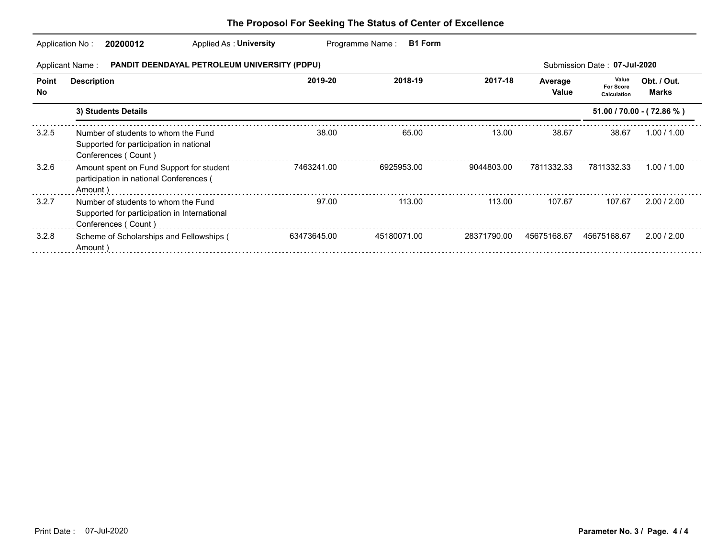|                    | Applied As: University<br>20200012<br>Application No:                                                      |             | <b>B1 Form</b><br>Programme Name: |             |                  |                                          |                             |  |  |
|--------------------|------------------------------------------------------------------------------------------------------------|-------------|-----------------------------------|-------------|------------------|------------------------------------------|-----------------------------|--|--|
|                    | <b>PANDIT DEENDAYAL PETROLEUM UNIVERSITY (PDPU)</b><br>Submission Date: 07-Jul-2020<br>Applicant Name:     |             |                                   |             |                  |                                          |                             |  |  |
| Point<br><b>No</b> | <b>Description</b>                                                                                         | 2019-20     | 2018-19                           | 2017-18     | Average<br>Value | Value<br><b>For Score</b><br>Calculation | Obt. / Out.<br><b>Marks</b> |  |  |
|                    | 3) Students Details                                                                                        |             |                                   |             |                  |                                          | 51.00 / 70.00 - (72.86 %)   |  |  |
| 3.2.5              | Number of students to whom the Fund<br>Supported for participation in national<br>Conferences (Count)      | 38.00       | 65.00                             | 13.00       | 38.67            | 38.67                                    | 1.00 / 1.00                 |  |  |
| 3.2.6              | Amount spent on Fund Support for student<br>participation in national Conferences (<br>Amount)             | 7463241.00  | 6925953.00                        | 9044803.00  | 7811332.33       | 7811332.33                               | 1.00 / 1.00                 |  |  |
| 3.2.7              | Number of students to whom the Fund<br>Supported for participation in International<br>Conferences (Count) | 97.00       | 113.00                            | 113.00      | 107.67           | 107.67                                   | 2.00 / 2.00                 |  |  |
| 3.2.8              | Scheme of Scholarships and Fellowships (<br>Amount)                                                        | 63473645.00 | 45180071.00                       | 28371790.00 | 45675168.67      | 45675168.67                              | 2.00 / 2.00                 |  |  |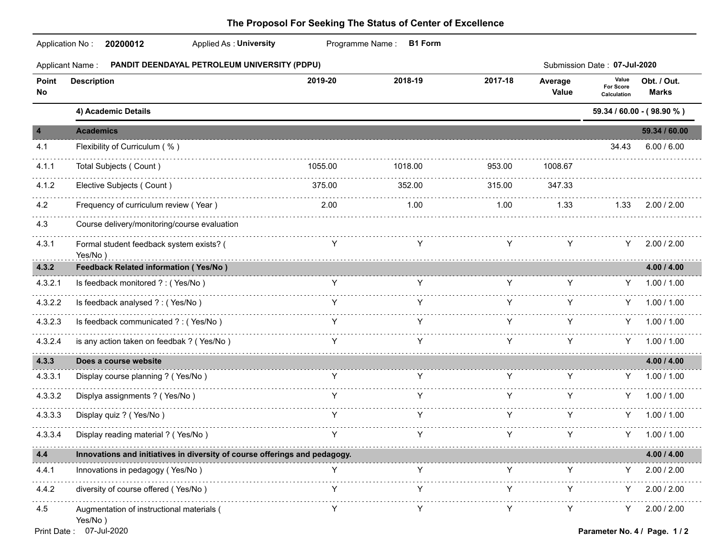| Application No:         | <b>Applied As: University</b><br>20200012                                  |         | Programme Name:<br><b>B1 Form</b> |         |                  |                                          |                               |
|-------------------------|----------------------------------------------------------------------------|---------|-----------------------------------|---------|------------------|------------------------------------------|-------------------------------|
| <b>Applicant Name:</b>  | PANDIT DEENDAYAL PETROLEUM UNIVERSITY (PDPU)                               |         |                                   |         |                  | Submission Date: 07-Jul-2020             |                               |
| Point<br>No.            | <b>Description</b>                                                         | 2019-20 | 2018-19                           | 2017-18 | Average<br>Value | Value<br><b>For Score</b><br>Calculation | Obt. / Out.<br><b>Marks</b>   |
|                         | 4) Academic Details                                                        |         |                                   |         |                  |                                          | 59.34 / 60.00 - (98.90 %)     |
| $\overline{\mathbf{4}}$ | <b>Academics</b>                                                           |         |                                   |         |                  |                                          | 59.34 / 60.00                 |
| 4.1                     | Flexibility of Curriculum (%)                                              |         |                                   |         |                  | 34.43                                    | 6.00 / 6.00                   |
| 4.1.1                   | Total Subjects (Count)                                                     | 1055.00 | 1018.00                           | 953.00  | 1008.67          |                                          |                               |
| 4.1.2                   | Elective Subjects (Count)                                                  | 375.00  | 352.00                            | 315.00  | 347.33           |                                          |                               |
| 4.2                     | Frequency of curriculum review (Year)                                      | 2.00    | 1.00                              | 1.00    | 1.33             | 1.33                                     | 2.00 / 2.00                   |
| 4.3                     | Course delivery/monitoring/course evaluation                               |         |                                   |         |                  |                                          |                               |
| 4.3.1                   | Formal student feedback system exists? (<br>Yes/No)                        | Y       | Y                                 | Y       | Y                | Y.                                       | 2.00 / 2.00                   |
| 4.3.2                   | <b>Feedback Related information (Yes/No)</b>                               |         |                                   |         |                  |                                          | 4.00 / 4.00                   |
| 4.3.2.1                 | Is feedback monitored ? : (Yes/No)                                         | Y       | Y                                 | Y       | Y                | Y.                                       | 1.00 / 1.00                   |
| 4.3.2.2                 | Is feedback analysed ? : (Yes/No)                                          | Y       | Y                                 | Y       | Y                | Y.                                       | 1.00 / 1.00                   |
| 4.3.2.3                 | Is feedback communicated ? : (Yes/No)                                      | Y       |                                   | Y       | Y                |                                          | $Y = 1.00 / 1.00$             |
| 4.3.2.4                 | is any action taken on feedbak ? (Yes/No)                                  |         |                                   |         |                  |                                          | 1.00 / 1.00                   |
| 4.3.3                   | Does a course website                                                      |         |                                   |         |                  |                                          | 4.00 / 4.00                   |
| 4.3.3.1                 | Display course planning ? (Yes/No)                                         | Y       | Y                                 | Y       | Y                |                                          | Y 1.00 / 1.00                 |
| 4.3.3.2                 | Displya assignments ? (Yes/No)                                             | Y       |                                   | Y       | Y                | Y.                                       | 1.00 / 1.00                   |
| 4.3.3.3                 | Display quiz ? (Yes/No)                                                    |         |                                   | Y       | Y                | Y.                                       | 1.00 / 1.00                   |
| 4.3.3.4                 | Display reading material ? (Yes/No)                                        |         |                                   |         | Y                | Y.                                       | 1.00 / 1.00                   |
| 4.4                     | Innovations and initiatives in diversity of course offerings and pedagogy. |         |                                   |         |                  |                                          | 4.00 / 4.00                   |
| 4.4.1                   | Innovations in pedagogy (Yes/No)                                           | Y       | Y                                 | Y       | Y                |                                          | 2.00 / 2.00                   |
| 4.4.2                   | diversity of course offered (Yes/No)                                       |         |                                   |         |                  |                                          | 2.00 / 2.00                   |
| 4.5                     | Augmentation of instructional materials (<br>Yes/No)                       | Y       |                                   |         |                  | Y.                                       | 2.00 / 2.00                   |
|                         | Print Date: 07-Jul-2020                                                    |         |                                   |         |                  |                                          | Parameter No. 4 / Page. 1 / 2 |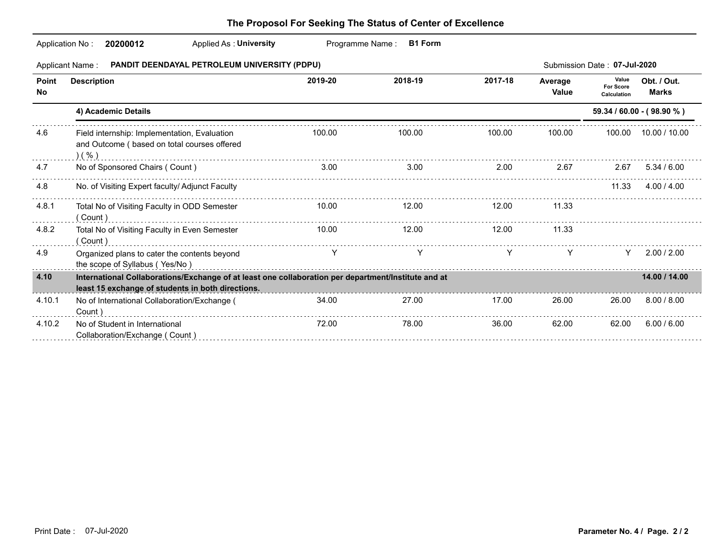|                     | Applied As: University<br>Application No:<br>20200012                                                                                                    | Programme Name: | <b>B1 Form</b>                                                                                                       |         |                  |                                   |                             |
|---------------------|----------------------------------------------------------------------------------------------------------------------------------------------------------|-----------------|----------------------------------------------------------------------------------------------------------------------|---------|------------------|-----------------------------------|-----------------------------|
|                     | PANDIT DEENDAYAL PETROLEUM UNIVERSITY (PDPU)<br>Applicant Name:                                                                                          |                 |                                                                                                                      |         |                  | Submission Date: 07-Jul-2020      |                             |
| <b>Point</b><br>No. | <b>Description</b>                                                                                                                                       | 2019-20         | 2018-19                                                                                                              | 2017-18 | Average<br>Value | Value<br>For Score<br>Calculation | Obt. / Out.<br><b>Marks</b> |
|                     | 4) Academic Details                                                                                                                                      |                 |                                                                                                                      |         |                  |                                   | $59.34 / 60.00 - (98.90 %)$ |
| 4.6                 | Field internship: Implementation, Evaluation<br>and Outcome ( based on total courses offered<br>( %)                                                     | 100.00          | 100.00                                                                                                               | 100.00  | 100.00           | 100.00                            | 10.00 / 10.00               |
| 4.7                 | No of Sponsored Chairs (Count)                                                                                                                           | 3.00            | 3.00                                                                                                                 | 2.00    | 2.67             | 2.67                              | 5.34/6.00                   |
| 4.8                 | No. of Visiting Expert faculty/ Adjunct Faculty                                                                                                          |                 |                                                                                                                      |         |                  | 11.33                             | 4.00 / 4.00                 |
| 4.8.1               | Total No of Visiting Faculty in ODD Semester<br>(Count)                                                                                                  | 10.00           | 12.00                                                                                                                | 12.00   | 11.33            |                                   |                             |
| 4.8.2               | Total No of Visiting Faculty in Even Semester<br>(Count)                                                                                                 | 10.00           | 12.00                                                                                                                | 12.00   | 11.33            |                                   |                             |
| 4.9                 | Organized plans to cater the contents beyond<br>the scope of Syllabus (Yes/No)                                                                           | Y               | Y                                                                                                                    | Y       | Y                | Y.                                | 2.00 / 2.00                 |
| 4.10                | International Collaborations/Exchange of at least one collaboration per department/Institute and at<br>least 15 exchange of students in both directions. |                 | <u> 1989 - Andrej Amerikaanse kommunister (het die staatstad van die stad van die stad van die stad van die stad</u> |         |                  |                                   | 14.00 / 14.00               |
| 4.10.1              | No of International Collaboration/Exchange (<br>Count)                                                                                                   | 34.00           | 27.00                                                                                                                | 17.00   | 26.00            | 26.00                             | 8.00 / 8.00                 |
| 4.10.2              | No of Student in International<br>Collaboration/Exchange (Count)                                                                                         | 72.00           | 78.00                                                                                                                | 36.00   | 62.00            | 62.00                             | 6.00 / 6.00                 |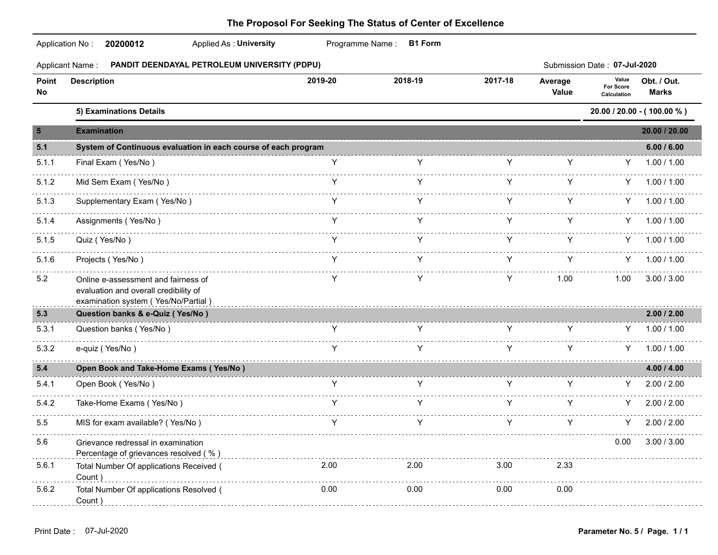### Application No : **20200012** Applied As : **University** Programme Name : **B1 Form 20200012** Applied As : **University** Applicant Name : **PANDIT DEENDAYAL PETROLEUM UNIVERSITY (PDPU)** Submission Date : **07-Jul-2020** Average Value **Point Description Value For Score Calculation 2019-20 2018-19 2017-18 Obt. / Out. Value Calculation No Marks 5) Examinations Details 20.00 / 20.00 - ( 100.00 % ) 5 Examination 20.00 / 20.00 5.1 System of Continuous evaluation in each course of each program 6.00 / 6.00** 5.1.1 Final Exam ( Yes/No ) Y Y Y Y Y 1.00 / 1.00 . . . . . . . . . . . . . . . . . . 5.1.2 Mid Sem Exam ( Yes/No ) Y Y Y Y Y 1.00 / 1.00 de de decide 5.1.3 Supplementary Exam (Yes/No) The State of the State of the Y Y Y Y Y 1.00 / 1.00 5.1.4 Assignments ( Yes/No ) Y Y Y Y Y 1.00 / 1.00 <u>. . . . . . . . . .</u> 5.1.5 Quiz ( Yes/No ) Y Y Y Y Y 1.00 / 1.00 5.1.6 Projects ( Yes/No ) Y Y Y Y Y 1.00 / 1.00 5.2 Online e-assessment and fairness of Y Y Y 1.00 1.00 3.00 / 3.00 evaluation and overall credibility of examination system ( Yes/No/Partial ) **5.3 Question banks & e-Quiz ( Yes/No ) 2.00 / 2.00** 5.3.1 Question banks ( Yes/No ) Y Y Y Y Y 1.00 / 1.00 . . . . . . . . . . . 5.3.2 e-quiz ( Yes/No ) Y Y Y Y Y 1.00 / 1.00 . . . . . . . . . . . . . . . **5.4 Open Book and Take-Home Exams ( Yes/No ) 4.00 / 4.00** 5.4.1 Open Book ( Yes/No ) Y Y Y Y Y 2.00 / 2.00 <u>. . . . . . . . . . .</u> 5.4.2 Take-Home Exams ( Yes/No ) The State of Material Control of Material Control of Materia Control of Materia Control of Materia Control of Materia Control of Materia Control of Materia Control of Materia Control of Mat . . . . . . . . . . 5.5 MIS for exam available? ( Yes/No )  $\begin{array}{ccccc} \text{Y} & \text{Y} & \text{Y} & \text{Y} & \text{Y} & \text{Y} & \text{Y} & \text{2.00 / 2.00} \\ \end{array}$ 5.6 Grievance redressal in examination 0.00 3.00 / 3.00 Percentage of grievances resolved (%) expression control to the control of the control of the control of the control of the control of the control of the control of the control of the control of the control of the control 5.6.1 Total Number Of applications Received ( 2.00 2.00 3.00 2.33 Count ) 5.6.2 Total Number Of applications Resolved ( 0.00 0.00 0.00 0.00 Count ) <u>\_\_\_\_\_\_\_\_\_\_\_\_\_\_\_\_\_\_\_\_\_\_\_</u>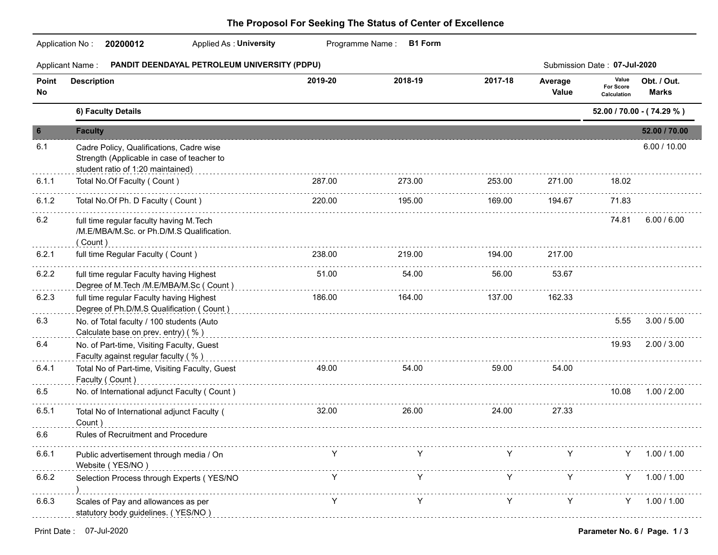|                 | <b>Applied As: University</b><br>Application No:<br>20200012                                                                |         | Programme Name:<br><b>B1 Form</b> |         |                  |                                   |                             |
|-----------------|-----------------------------------------------------------------------------------------------------------------------------|---------|-----------------------------------|---------|------------------|-----------------------------------|-----------------------------|
|                 | PANDIT DEENDAYAL PETROLEUM UNIVERSITY (PDPU)<br>Applicant Name:                                                             |         |                                   |         |                  | Submission Date: 07-Jul-2020      |                             |
| Point<br>No     | <b>Description</b>                                                                                                          | 2019-20 | 2018-19                           | 2017-18 | Average<br>Value | Value<br>For Score<br>Calculation | Obt. / Out.<br><b>Marks</b> |
|                 | 6) Faculty Details                                                                                                          |         |                                   |         |                  |                                   | 52.00 / 70.00 - (74.29 %)   |
| $6\phantom{1}6$ | <b>Faculty</b>                                                                                                              |         |                                   |         |                  |                                   | 52.00 / 70.00               |
| 6.1             | Cadre Policy, Qualifications, Cadre wise<br>Strength (Applicable in case of teacher to<br>student ratio of 1:20 maintained) |         |                                   |         |                  |                                   | 6.00 / 10.00                |
| 6.1.1           | Total No.Of Faculty (Count)                                                                                                 | 287.00  | 273.00                            | 253.00  | 271.00           | 18.02                             |                             |
| 6.1.2           | Total No.Of Ph. D Faculty (Count)                                                                                           | 220.00  | .<br>195.00                       | 169.00  | 194.67           | 71.83                             |                             |
| 6.2             | full time regular faculty having M. Tech<br>/M.E/MBA/M.Sc. or Ph.D/M.S Qualification.<br>(Count)                            |         |                                   |         |                  | 74.81                             | 6.00 / 6.00                 |
| 6.2.1           | full time Regular Faculty (Count)                                                                                           | 238.00  | 219.00                            | 194.00  | 217.00           |                                   |                             |
| 6.2.2           | full time regular Faculty having Highest<br>Degree of M.Tech /M.E/MBA/M.Sc ( Count )                                        | 51.00   | 54.00                             | 56.00   | 53.67            |                                   |                             |
| 6.2.3           | full time regular Faculty having Highest<br>Degree of Ph.D/M.S Qualification ( Count )                                      | 186.00  | 164.00                            | 137.00  | 162.33           |                                   |                             |
| 6.3             | No. of Total faculty / 100 students (Auto<br>Calculate base on prev. entry) (%)                                             |         |                                   |         |                  | 5.55                              | 3.00 / 5.00                 |
| 6.4             | No. of Part-time, Visiting Faculty, Guest<br>Faculty against regular faculty (%)                                            |         |                                   |         |                  | 19.93                             | 2.00 / 3.00                 |
| 6.4.1           | Total No of Part-time, Visiting Faculty, Guest<br>Faculty (Count)                                                           | 49.00   | 54.00                             | 59.00   | 54.00            |                                   |                             |
| 6.5             | No. of International adjunct Faculty (Count)                                                                                |         |                                   |         |                  | 10.08                             | 1.00 / 2.00                 |
| 6.5.1           | Total No of International adjunct Faculty (<br>Count)                                                                       | 32.00   | 26.00                             | 24.00   | 27.33            |                                   |                             |
| 6.6             | Rules of Recruitment and Procedure                                                                                          |         |                                   |         |                  |                                   |                             |
| 6.6.1           | Public advertisement through media / On<br>Website (YES/NO)                                                                 |         |                                   |         |                  | Y                                 | 1.00 / 1.00                 |
| 6.6.2           | Selection Process through Experts (YES/NO                                                                                   |         |                                   |         |                  |                                   | 1.00 / 1.00                 |
| 6.6.3           | Scales of Pay and allowances as per<br>statutory body guidelines. (YES/NO)                                                  |         |                                   |         |                  | Y.                                | 1.00 / 1.00                 |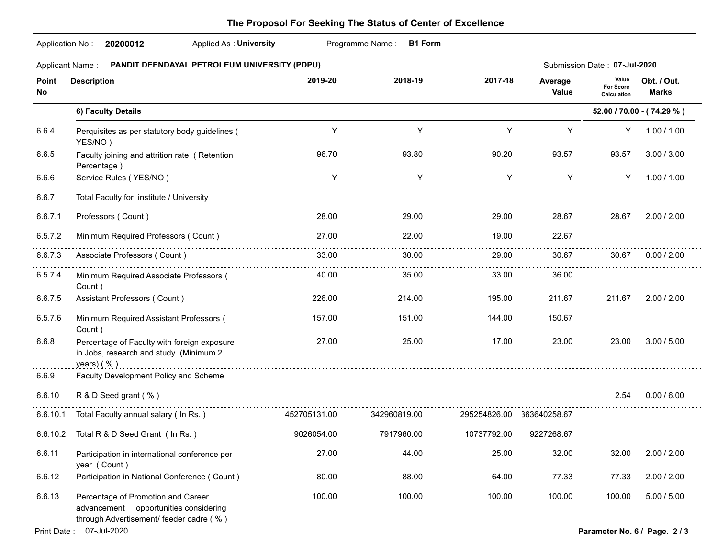|             | Programme Name: B1 Form<br>Application No: 20200012<br>Applied As: University                                          |              |              |                           |                  |                                          |                             |  |  |  |
|-------------|------------------------------------------------------------------------------------------------------------------------|--------------|--------------|---------------------------|------------------|------------------------------------------|-----------------------------|--|--|--|
|             | Applicant Name : PANDIT DEENDAYAL PETROLEUM UNIVERSITY (PDPU)<br>Submission Date: 07-Jul-2020                          |              |              |                           |                  |                                          |                             |  |  |  |
| Point<br>No | <b>Description</b>                                                                                                     | 2019-20      | 2018-19      | 2017-18                   | Average<br>Value | Value<br><b>For Score</b><br>Calculation | Obt. / Out.<br><b>Marks</b> |  |  |  |
|             | 6) Faculty Details                                                                                                     |              |              |                           |                  |                                          | 52.00 / 70.00 - (74.29 %)   |  |  |  |
| 6.6.4       | Perquisites as per statutory body guidelines (<br>YES/NO)                                                              | Y            | Y            | Y                         | Y                | Y                                        | 1.00 / 1.00                 |  |  |  |
| 6.6.5       | Faculty joining and attrition rate (Retention<br>Percentage)                                                           | 96.70        | 93.80        | 90.20                     | 93.57            | 93.57                                    | 3.00 / 3.00                 |  |  |  |
| 6.6.6       | Service Rules (YES/NO)                                                                                                 | Y            | Y            | Y                         | Y                | Y -                                      | 1.00 / 1.00                 |  |  |  |
| 6.6.7       | Total Faculty for institute / University                                                                               |              |              |                           |                  |                                          |                             |  |  |  |
| 6.6.7.1     | Professors (Count)                                                                                                     | 28.00        | 29.00        | 29.00                     | 28.67            | 28.67                                    | 2.00 / 2.00                 |  |  |  |
| 6.5.7.2     | Minimum Required Professors (Count)                                                                                    | 27.00        | 22.00        | 19.00                     | 22.67            |                                          |                             |  |  |  |
| 6.6.7.3     | Associate Professors (Count)                                                                                           | 33.00        | 30.00        | 29.00                     | 30.67            | 30.67                                    | 0.00 / 2.00                 |  |  |  |
| 6.5.7.4     | Minimum Required Associate Professors (<br>Count)                                                                      | 40.00        | 35.00        | 33.00                     | 36.00            |                                          |                             |  |  |  |
| 6.6.7.5     | Assistant Professors (Count)                                                                                           | 226.00       | 214.00       | 195.00                    | 211.67           | 211.67                                   | 2.00 / 2.00                 |  |  |  |
| 6.5.7.6     | Minimum Required Assistant Professors (<br>Count)                                                                      | 157.00       | 151.00       | 144.00                    | 150.67           |                                          |                             |  |  |  |
| 6.6.8       | Percentage of Faculty with foreign exposure<br>in Jobs, research and study (Minimum 2<br>years) $( %)$                 | 27.00        | 25.00        | 17.00                     | 23.00            | 23.00                                    | 3.00 / 5.00                 |  |  |  |
| 6.6.9       | Faculty Development Policy and Scheme                                                                                  |              |              |                           |                  |                                          |                             |  |  |  |
| 6.6.10      | R & D Seed grant (%)                                                                                                   |              |              |                           |                  | 2.54                                     | 0.00 / 6.00                 |  |  |  |
| 6.6.10.1    | Total Faculty annual salary (In Rs.)                                                                                   | 452705131.00 | 342960819.00 | 295254826.00 363640258.67 |                  |                                          |                             |  |  |  |
|             | 6.6.10.2 Total R & D Seed Grant (In Rs.)                                                                               | 9026054.00   | 7917960.00   | 10737792.00               | 9227268.67       |                                          |                             |  |  |  |
| 6.6.11      | Participation in international conference per<br>year (Count)                                                          | 27.00        | 44.00        | 25.00                     | 32.00            | 32.00                                    | 2.00 / 2.00                 |  |  |  |
| 6.6.12      | Participation in National Conference (Count)                                                                           | 80.00        | 88.00        | 64.00                     | 77.33            | 77.33                                    | 2.00 / 2.00                 |  |  |  |
| 6.6.13      | Percentage of Promotion and Career<br>advancement opportunities considering<br>through Advertisement/ feeder cadre (%) | 100.00       | 100.00       | 100.00                    | 100.00           | 100.00                                   | 5.00 / 5.00                 |  |  |  |
|             | Print Date: 07-Jul-2020                                                                                                |              |              |                           |                  | Parameter No. 6 / Page. 2 / 3            |                             |  |  |  |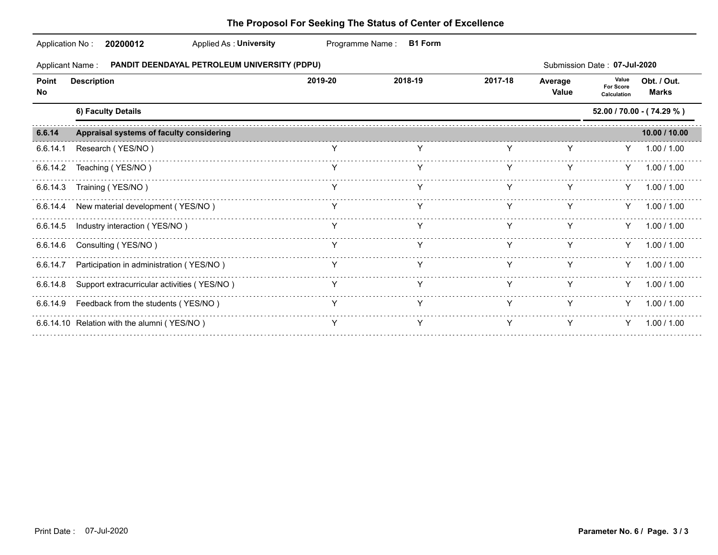|             | Application No:<br>20200012<br>Applied As: University         | Programme Name: | <b>B1 Form</b> |         |                  |                                   |                             |
|-------------|---------------------------------------------------------------|-----------------|----------------|---------|------------------|-----------------------------------|-----------------------------|
|             | Applicant Name : PANDIT DEENDAYAL PETROLEUM UNIVERSITY (PDPU) |                 |                |         |                  | Submission Date: 07-Jul-2020      |                             |
| Point<br>No | <b>Description</b>                                            | 2019-20         | 2018-19        | 2017-18 | Average<br>Value | Value<br>For Score<br>Calculation | Obt. / Out.<br><b>Marks</b> |
|             | 6) Faculty Details                                            |                 |                |         |                  |                                   | 52.00 / 70.00 - (74.29 %)   |
| 6.6.14      | Appraisal systems of faculty considering                      |                 |                |         |                  |                                   | 10.00 / 10.00               |
| 6.6.14.1    | Research (YES/NO)                                             |                 |                |         |                  | Y.                                | 1.00 / 1.00                 |
| 6.6.14.2    | Teaching (YES/NO)                                             |                 | Y              | Y       | Y                | Y                                 | 1.00 / 1.00                 |
|             | 6.6.14.3 Training (YES/NO)                                    |                 |                |         |                  |                                   | $Y = 1.00 / 1.00$           |
|             | 6.6.14.4 New material development (YES/NO)                    | Y               |                | Y       | Y                |                                   | $Y = 1.00 / 1.00$           |
| 6.6.14.5    | Industry interaction (YES/NO)                                 |                 |                |         |                  |                                   | $Y = 1.00 / 1.00$           |
| 6.6.14.6    | Consulting (YES/NO)                                           | Y               | Y              | Y       | Y                |                                   | $Y = 1.00 / 1.00$           |
| 6.6.14.7    | Participation in administration (YES/NO)                      |                 |                |         |                  |                                   | $Y = 1.00 / 1.00$           |
| 6.6.14.8    | Support extracurricular activities (YES/NO)                   | Y               | Y              | Y       | Y                |                                   | $Y = 1.00 / 1.00$           |
| 6.6.14.9    | Feedback from the students (YES/NO)                           |                 | Y              | Y       | Y                | Y                                 | 1.00 / 1.00                 |
|             | 6.6.14.10 Relation with the alumni (YES/NO)                   |                 |                |         |                  | Y                                 | 1.00 / 1.00                 |
|             |                                                               |                 |                |         |                  |                                   |                             |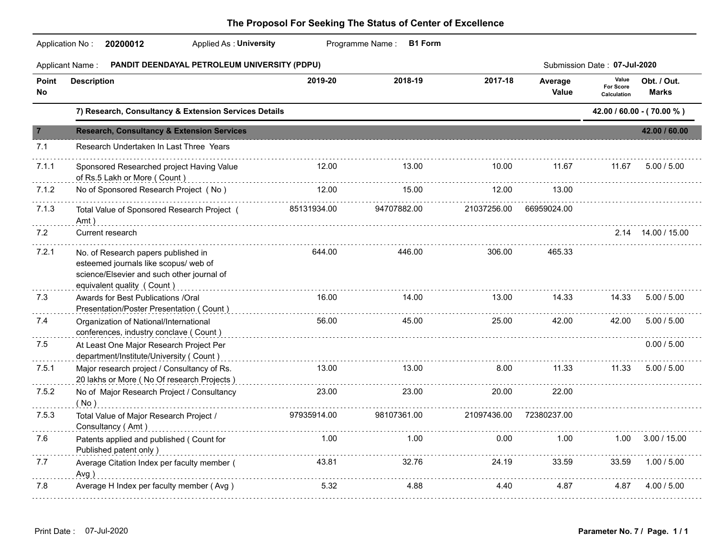| <b>Applicant Name:</b><br><b>PANDIT DEENDAYAL PETROLEUM UNIVERSITY (PDPU)</b><br>Submission Date: 07-Jul-2020<br>Value<br>2018-19<br>2017-18<br>2019-20<br>Obt. / Out.<br><b>Description</b><br>Average<br><b>For Score</b><br>Value<br><b>Marks</b><br>Calculation<br>7) Research, Consultancy & Extension Services Details<br>42.00 / 60.00 - (70.00 %)<br><b>Research, Consultancy &amp; Extension Services</b><br>Research Undertaken In Last Three Years<br>12.00<br>13.00<br>10.00<br>11.67<br>11.67<br>Sponsored Researched project Having Value<br>of Rs.5 Lakh or More (Count)<br>No of Sponsored Research Project (No)<br>12.00<br>15.00<br>12.00<br>13.00<br>85131934.00<br>94707882.00<br>21037256.00 66959024.00<br>Total Value of Sponsored Research Project (<br>Amt)<br>Current research<br>2.14 14.00 / 15.00<br>644.00<br>446.00<br>306.00<br>465.33<br>No. of Research papers published in<br>esteemed journals like scopus/ web of<br>science/Elsevier and such other journal of<br>equivalent quality (Count)<br>Awards for Best Publications /Oral<br>16.00<br>14.00<br>13.00<br>14.33<br>14.33<br>Presentation/Poster Presentation (Count)<br>56.00<br>25.00<br>42.00<br>42.00<br>Organization of National/International<br>45.00<br>conferences, industry conclave (Count)<br>At Least One Major Research Project Per<br>department/Institute/University ( Count )<br>13.00<br>13.00<br>8.00<br>11.33<br>Major research project / Consultancy of Rs.<br>11.33<br>20 lakhs or More (No Of research Projects)<br>No of Major Research Project / Consultancy<br>23.00<br>23.00<br>22.00<br>20.00<br>( No )<br>97935914.00<br>98107361.00<br>21097436.00<br>72380237.00<br>Total Value of Major Research Project /<br>Consultancy (Amt)<br>1.00<br>1.00<br>Patents applied and published ( Count for<br>0.00<br>1.00<br>$1.00$ $3.00 / 15.00$<br>Published patent only)<br>43.81<br>32.76<br>33.59<br>1.00 / 5.00<br>Average Citation Index per faculty member (<br>24.19<br>33.59<br>Avg)<br>4.88<br>Average H Index per faculty member (Avg)<br>5.32<br>4.40<br>4.87<br>4.87 4.00 / 5.00 |                | Application No: 20200012<br>Applied As: University | Programme Name:<br><b>B1 Form</b> |  |               |
|----------------------------------------------------------------------------------------------------------------------------------------------------------------------------------------------------------------------------------------------------------------------------------------------------------------------------------------------------------------------------------------------------------------------------------------------------------------------------------------------------------------------------------------------------------------------------------------------------------------------------------------------------------------------------------------------------------------------------------------------------------------------------------------------------------------------------------------------------------------------------------------------------------------------------------------------------------------------------------------------------------------------------------------------------------------------------------------------------------------------------------------------------------------------------------------------------------------------------------------------------------------------------------------------------------------------------------------------------------------------------------------------------------------------------------------------------------------------------------------------------------------------------------------------------------------------------------------------------------------------------------------------------------------------------------------------------------------------------------------------------------------------------------------------------------------------------------------------------------------------------------------------------------------------------------------------------------------------------------------------------------------------------------------------------------------------------------------------------------------|----------------|----------------------------------------------------|-----------------------------------|--|---------------|
|                                                                                                                                                                                                                                                                                                                                                                                                                                                                                                                                                                                                                                                                                                                                                                                                                                                                                                                                                                                                                                                                                                                                                                                                                                                                                                                                                                                                                                                                                                                                                                                                                                                                                                                                                                                                                                                                                                                                                                                                                                                                                                                |                |                                                    |                                   |  |               |
|                                                                                                                                                                                                                                                                                                                                                                                                                                                                                                                                                                                                                                                                                                                                                                                                                                                                                                                                                                                                                                                                                                                                                                                                                                                                                                                                                                                                                                                                                                                                                                                                                                                                                                                                                                                                                                                                                                                                                                                                                                                                                                                | Point<br>No    |                                                    |                                   |  |               |
|                                                                                                                                                                                                                                                                                                                                                                                                                                                                                                                                                                                                                                                                                                                                                                                                                                                                                                                                                                                                                                                                                                                                                                                                                                                                                                                                                                                                                                                                                                                                                                                                                                                                                                                                                                                                                                                                                                                                                                                                                                                                                                                |                |                                                    |                                   |  |               |
|                                                                                                                                                                                                                                                                                                                                                                                                                                                                                                                                                                                                                                                                                                                                                                                                                                                                                                                                                                                                                                                                                                                                                                                                                                                                                                                                                                                                                                                                                                                                                                                                                                                                                                                                                                                                                                                                                                                                                                                                                                                                                                                | $\overline{7}$ |                                                    |                                   |  | 42.00 / 60.00 |
|                                                                                                                                                                                                                                                                                                                                                                                                                                                                                                                                                                                                                                                                                                                                                                                                                                                                                                                                                                                                                                                                                                                                                                                                                                                                                                                                                                                                                                                                                                                                                                                                                                                                                                                                                                                                                                                                                                                                                                                                                                                                                                                | 7.1            |                                                    |                                   |  |               |
|                                                                                                                                                                                                                                                                                                                                                                                                                                                                                                                                                                                                                                                                                                                                                                                                                                                                                                                                                                                                                                                                                                                                                                                                                                                                                                                                                                                                                                                                                                                                                                                                                                                                                                                                                                                                                                                                                                                                                                                                                                                                                                                | 7.1.1          |                                                    |                                   |  | 5.00 / 5.00   |
|                                                                                                                                                                                                                                                                                                                                                                                                                                                                                                                                                                                                                                                                                                                                                                                                                                                                                                                                                                                                                                                                                                                                                                                                                                                                                                                                                                                                                                                                                                                                                                                                                                                                                                                                                                                                                                                                                                                                                                                                                                                                                                                | 7.1.2          |                                                    |                                   |  |               |
|                                                                                                                                                                                                                                                                                                                                                                                                                                                                                                                                                                                                                                                                                                                                                                                                                                                                                                                                                                                                                                                                                                                                                                                                                                                                                                                                                                                                                                                                                                                                                                                                                                                                                                                                                                                                                                                                                                                                                                                                                                                                                                                | 7.1.3          |                                                    |                                   |  |               |
|                                                                                                                                                                                                                                                                                                                                                                                                                                                                                                                                                                                                                                                                                                                                                                                                                                                                                                                                                                                                                                                                                                                                                                                                                                                                                                                                                                                                                                                                                                                                                                                                                                                                                                                                                                                                                                                                                                                                                                                                                                                                                                                | 7.2            |                                                    |                                   |  |               |
|                                                                                                                                                                                                                                                                                                                                                                                                                                                                                                                                                                                                                                                                                                                                                                                                                                                                                                                                                                                                                                                                                                                                                                                                                                                                                                                                                                                                                                                                                                                                                                                                                                                                                                                                                                                                                                                                                                                                                                                                                                                                                                                | 7.2.1          |                                                    |                                   |  |               |
|                                                                                                                                                                                                                                                                                                                                                                                                                                                                                                                                                                                                                                                                                                                                                                                                                                                                                                                                                                                                                                                                                                                                                                                                                                                                                                                                                                                                                                                                                                                                                                                                                                                                                                                                                                                                                                                                                                                                                                                                                                                                                                                | 7.3            |                                                    |                                   |  | 5.00 / 5.00   |
|                                                                                                                                                                                                                                                                                                                                                                                                                                                                                                                                                                                                                                                                                                                                                                                                                                                                                                                                                                                                                                                                                                                                                                                                                                                                                                                                                                                                                                                                                                                                                                                                                                                                                                                                                                                                                                                                                                                                                                                                                                                                                                                | 7.4            |                                                    |                                   |  | 5.00 / 5.00   |
|                                                                                                                                                                                                                                                                                                                                                                                                                                                                                                                                                                                                                                                                                                                                                                                                                                                                                                                                                                                                                                                                                                                                                                                                                                                                                                                                                                                                                                                                                                                                                                                                                                                                                                                                                                                                                                                                                                                                                                                                                                                                                                                | 7.5            |                                                    |                                   |  | 0.00 / 5.00   |
|                                                                                                                                                                                                                                                                                                                                                                                                                                                                                                                                                                                                                                                                                                                                                                                                                                                                                                                                                                                                                                                                                                                                                                                                                                                                                                                                                                                                                                                                                                                                                                                                                                                                                                                                                                                                                                                                                                                                                                                                                                                                                                                | 7.5.1          |                                                    |                                   |  | 5.00 / 5.00   |
|                                                                                                                                                                                                                                                                                                                                                                                                                                                                                                                                                                                                                                                                                                                                                                                                                                                                                                                                                                                                                                                                                                                                                                                                                                                                                                                                                                                                                                                                                                                                                                                                                                                                                                                                                                                                                                                                                                                                                                                                                                                                                                                | 7.5.2          |                                                    |                                   |  |               |
|                                                                                                                                                                                                                                                                                                                                                                                                                                                                                                                                                                                                                                                                                                                                                                                                                                                                                                                                                                                                                                                                                                                                                                                                                                                                                                                                                                                                                                                                                                                                                                                                                                                                                                                                                                                                                                                                                                                                                                                                                                                                                                                | 7.5.3          |                                                    |                                   |  |               |
|                                                                                                                                                                                                                                                                                                                                                                                                                                                                                                                                                                                                                                                                                                                                                                                                                                                                                                                                                                                                                                                                                                                                                                                                                                                                                                                                                                                                                                                                                                                                                                                                                                                                                                                                                                                                                                                                                                                                                                                                                                                                                                                | 7.6            |                                                    |                                   |  |               |
|                                                                                                                                                                                                                                                                                                                                                                                                                                                                                                                                                                                                                                                                                                                                                                                                                                                                                                                                                                                                                                                                                                                                                                                                                                                                                                                                                                                                                                                                                                                                                                                                                                                                                                                                                                                                                                                                                                                                                                                                                                                                                                                | 7.7            |                                                    |                                   |  |               |
|                                                                                                                                                                                                                                                                                                                                                                                                                                                                                                                                                                                                                                                                                                                                                                                                                                                                                                                                                                                                                                                                                                                                                                                                                                                                                                                                                                                                                                                                                                                                                                                                                                                                                                                                                                                                                                                                                                                                                                                                                                                                                                                | 7.8            |                                                    |                                   |  |               |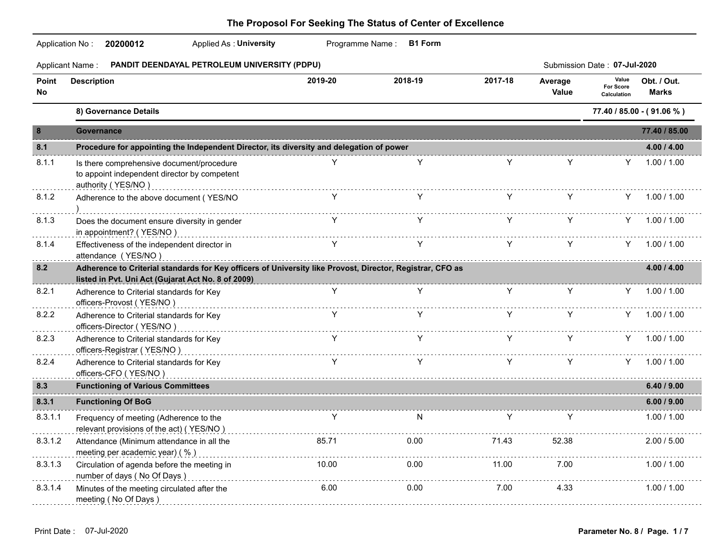### Application No : **20200012** Applied As : **University** Programme Name : **B1 Form 20200012** Applied As : **University** Applicant Name : **PANDIT DEENDAYAL PETROLEUM UNIVERSITY (PDPU)** Submission Date : **07-Jul-2020** Average Value **Point Description Value For Score Calculation 2019-20 2018-19 2017-18 Obt. / Out. Value Calculation No Marks 8) Governance Details 77.40 / 85.00 - ( 91.06 % ) 8 Governance 77.40 / 85.00 8.1 Procedure for appointing the Independent Director, its diversity and delegation of power 4.00 / 4.00** 8.1.1 Is there comprehensive document/procedure Y Y Y Y 1.00 / 1.00 to appoint independent director by competent authority ( YES/NO ) 8.1.2 Adherence to the above document ( YES/NO Y Y Y Y Y 1.00 / 1.00 ) 8.1.3 Does the document ensure diversity in gender Y Y Y Y Y 1.00 / 1.00 in appointment? ( YES/NO ) 8.1.4 Effectiveness of the independent director in Y Y Y Y Y 1.00 / 1.00 attendance (YES/NO) entitled and the control of the control of the control of the control of the control of the control of the control of the control of the control of the control of the control of the control of the contr . . . . . . . . . . . **8.2 Adherence to Criterial standards for Key officers of University like Provost, Director, Registrar, CFO as 4.00 / 4.00 listed in Pvt. Uni Act (Gujarat Act No. 8 of 2009)** . . . . . . . . 8.2.1 Adherence to Criterial standards for Key Y Y Y Y Y 1.00 / 1.00 officers-Provost ( YES/NO ) 8.2.2 Adherence to Criterial standards for Key Y Y Y Y Y 1.00 / 1.00 officers-Director ( YES/NO ) 8.2.3 Adherence to Criterial standards for Key Y Y Y Y Y 1.00 / 1.00 officers-Registrar ( YES/NO ) <u>Saadaada</u> 8.2.4 Adherence to Criterial standards for Key Y Y Y 1.00 / 1.00 officers-CFO (YES/NO ) **8.3 Functioning of Various Committees 6.40 / 9.00** . . . . . . . . . . . **8.3.1 Functioning Of BoG 6.00 / 9.00** 8.3.1.1 Frequency of meeting (Adherence to the Y N Y Y 1.00 / 1.00 relevant provisions of the act) (YES/NO) entitled accordination control and according to the action of the act) (YES/NO) and the set of the action of the action of the action of the action of the set of the set of the set . . . . . . . . . . . 8.3.1.2 Attendance (Minimum attendance in all the 85.71 0.00 71.43 52.38 2.00 / 5.00 meeting per academic year) (%) . . . . . . . . . . 8.3.1.3 Circulation of agenda before the meeting in 10.00 0.00 11.00 7.00 1.00 / 1.00 number of days ( No Of Days ) 8.3.1.4 Minutes of the meeting circulated after the 6.00 0.00 7.00 4.33 1.00 / 1.00 meeting (No Of Days) and the contract of the contract of the contract of the contract of Days (No Of Days)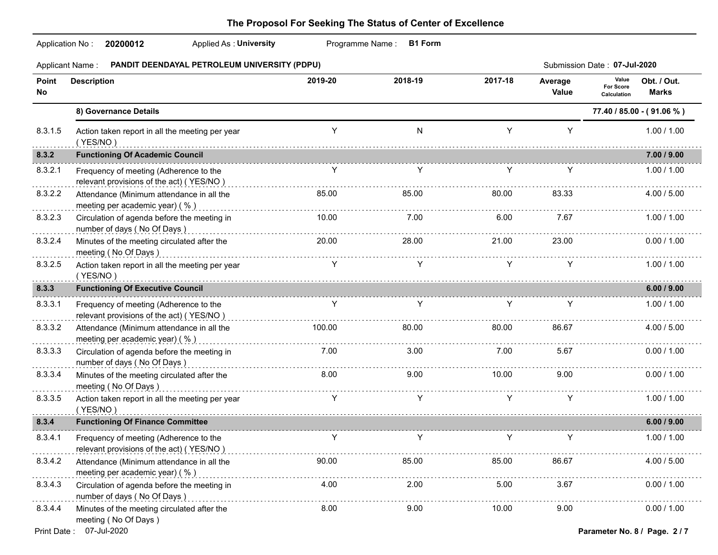### Application No : **20200012** Applied As : **University** Programme Name : **B1 Form 20200012** Applied As : **University** Applicant Name : **PANDIT DEENDAYAL PETROLEUM UNIVERSITY (PDPU)** Submission Date : **07-Jul-2020 Point Description** Average Value **Value For Score Calculation 2019-20 2018-19 2017-18 Obt. / Out. Value Calculation No Marks 8) Governance Details 77.40 / 85.00 - ( 91.06 % )** 8.3.1.5 Action taken report in all the meeting per year Y N Y Y 1.00 / 1.00  $(YES/NO)$ de de decem **8.3.2 Functioning Of Academic Council 7.00 / 9.00** 8.3.2.1 Frequency of meeting (Adherence to the Y Y Y Y 1.00 / 1.00 relevant provisions of the act) (YES/NO) expresses and contract the contract of the act of YES/NO is a set of YES/NO is a set of the act) (YES/NO is a set of the act of YES/NO is a set of the act of YES/NO is a set of the . . . . . . . . . . 8.3.2.2 Attendance (Minimum attendance in all the 85.00 85.00 80.00 83.33 4.00 / 5.00 meeting per academic year) (%) entitled according to the control of the control of the control of the control of the control of the control of the control of the control of the control of the control of the control of the 8.3.2.3 Circulation of agenda before the meeting in 10.00 7.00 6.00 7.67 1.00 / 1.00 number of days ( No Of Days ) <u>. . . . . . . . . .</u> 8.3.2.4 Minutes of the meeting circulated after the 20.00 28.00 21.00 23.00 0.00 / 1.00 meeting (No Of Days) **Example 20** and the contract of the contract of the contract of Days and The contract of the contract of the contract of the contract of the contract of the contract of the contract of the contract of . . . . . . . . . . 8.3.2.5 Action taken report in all the meeting per year Y Y Y Y 1.00 / 1.00 ( YES/NO ) **8.3.3 Functioning Of Executive Council 6.00 / 9.00** 8.3.3.1 Frequency of meeting (Adherence to the Y Y Y Y 1.00 / 1.00 relevant provisions of the act) ( YES/NO ) 8.3.3.2 Attendance (Minimum attendance in all the 100.00 80.00 80.00 86.67 4.00 / 5.00 meeting per academic year) (%) <u>. . . . . . . . . . .</u> 8.3.3.3 Circulation of agenda before the meeting in 7.00 3.00 7.00 5.67 0.00 / 1.00 number of days ( No Of Days ) . . . . . . . . . . 8.3.3.4 Minutes of the meeting circulated after the 8.00 9.00 10.00 9.00 0.00 / 1.00 meeting ( No Of Days ) 8.3.3.5 Action taken report in all the meeting per year Y Y Y Y 1.00 / 1.00  $(YES/NO)$ **8.3.4 Functioning Of Finance Committee 6.00 / 9.00** 8.3.4.1 Frequency of meeting (Adherence to the Y Y Y Y 1.00 / 1.00 relevant provisions of the act) (YES/NO) expresses and contract the contract of the act) (YES/NO) and contract the set of the act) (YES/NO) and contract the set of the set of the set of the set of the set of the set of the <u>. . . . . . . . . .</u> 8.3.4.2 Attendance (Minimum attendance in all the 90.00 85.00 85.00 86.67 4.00 / 5.00 meeting per academic year) (%) . . . . . . . . . . . 8.3.4.3 Circulation of agenda before the meeting in 4.00 2.00 5.00 3.67 0.00 / 1.00 number of days ( No Of Days ) 8.3.4.4 Minutes of the meeting circulated after the 8.00 9.00 10.00 9.00 0.00 / 1.00 meeting ( No Of Days )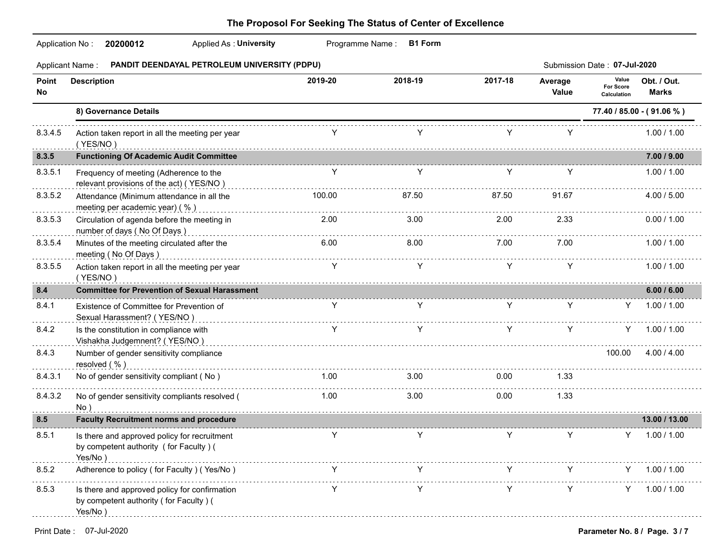|              | Applied As: University<br>Programme Name: B1 Form<br>Application No: 20200012                      |         |         |         |                  |                                   |                             |  |  |  |
|--------------|----------------------------------------------------------------------------------------------------|---------|---------|---------|------------------|-----------------------------------|-----------------------------|--|--|--|
|              | PANDIT DEENDAYAL PETROLEUM UNIVERSITY (PDPU)<br><b>Applicant Name:</b>                             |         |         |         |                  | Submission Date: 07-Jul-2020      |                             |  |  |  |
| Point<br>No  | <b>Description</b>                                                                                 | 2019-20 | 2018-19 | 2017-18 | Average<br>Value | Value<br>For Score<br>Calculation | Obt. / Out.<br><b>Marks</b> |  |  |  |
|              | 8) Governance Details                                                                              |         |         |         |                  |                                   | 77.40 / 85.00 - (91.06 %)   |  |  |  |
| 8.3.4.5<br>. | Action taken report in all the meeting per year<br>(YES/NO)                                        |         |         |         | Y                |                                   | 1.00 / 1.00                 |  |  |  |
| 8.3.5        | <b>Functioning Of Academic Audit Committee</b>                                                     |         |         |         |                  |                                   | 7.00 / 9.00                 |  |  |  |
| 8.3.5.1      | Frequency of meeting (Adherence to the<br>relevant provisions of the act) (YES/NO)                 | Y       | Y       | Y       | Y                |                                   | 1.00 / 1.00                 |  |  |  |
| 8.3.5.2      | Attendance (Minimum attendance in all the<br>meeting per academic year) (%)                        | 100.00  | 87.50   | 87.50   | 91.67            |                                   | 4.00 / 5.00                 |  |  |  |
| 8.3.5.3      | Circulation of agenda before the meeting in<br>number of days (No Of Days)                         | 2.00    | 3.00    | 2.00    | 2.33             |                                   | 0.00 / 1.00                 |  |  |  |
| 8.3.5.4      | Minutes of the meeting circulated after the<br>meeting (No Of Days)                                | 6.00    | 8.00    | 7.00    | 7.00             |                                   | 1.00 / 1.00                 |  |  |  |
| 8.3.5.5      | Action taken report in all the meeting per year<br>(YES/NO)                                        | Y       | Y       | Y       | Y                |                                   | 1.00 / 1.00                 |  |  |  |
| 8.4          | <b>Committee for Prevention of Sexual Harassment</b>                                               |         |         |         |                  |                                   | 6.00 / 6.00                 |  |  |  |
| 8.4.1        | Existence of Committee for Prevention of<br>Sexual Harassment? (YES/NO)                            | Y       | Y       | Y       | Y                | Y                                 | 1.00 / 1.00                 |  |  |  |
| 8.4.2        | Is the constitution in compliance with<br>Vishakha Judgemnent? (YES/NO)                            | Y       |         | Y       | Y                | Y.                                | 1.00 / 1.00                 |  |  |  |
| 8.4.3        | Number of gender sensitivity compliance<br>resolved (%)                                            |         |         |         |                  | 100.00                            | 4.00 / 4.00                 |  |  |  |
| 8.4.3.1      | No of gender sensitivity compliant (No)                                                            | 1.00    | 3.00    | 0.00    | 1.33             |                                   |                             |  |  |  |
| 8.4.3.2      | No of gender sensitivity compliants resolved (<br>No)                                              | 1.00    | 3.00    | 0.00    | 1.33             |                                   |                             |  |  |  |
| 8.5          | <b>Faculty Recruitment norms and procedure</b>                                                     |         |         |         |                  |                                   | 13.00 / 13.00               |  |  |  |
| 8.5.1        | Is there and approved policy for recruitment<br>by competent authority (for Faculty) (<br>Yes/No)  | Y       | Y       | Y       | Y                |                                   | $Y = 1.00 / 1.00$           |  |  |  |
| 8.5.2        | Adherence to policy (for Faculty) (Yes/No)                                                         |         |         |         |                  |                                   | 1.00 / 1.00                 |  |  |  |
| 8.5.3        | Is there and approved policy for confirmation<br>by competent authority (for Faculty) (<br>Yes/No) |         |         |         |                  |                                   | 1.00 / 1.00                 |  |  |  |
|              |                                                                                                    |         |         |         |                  |                                   |                             |  |  |  |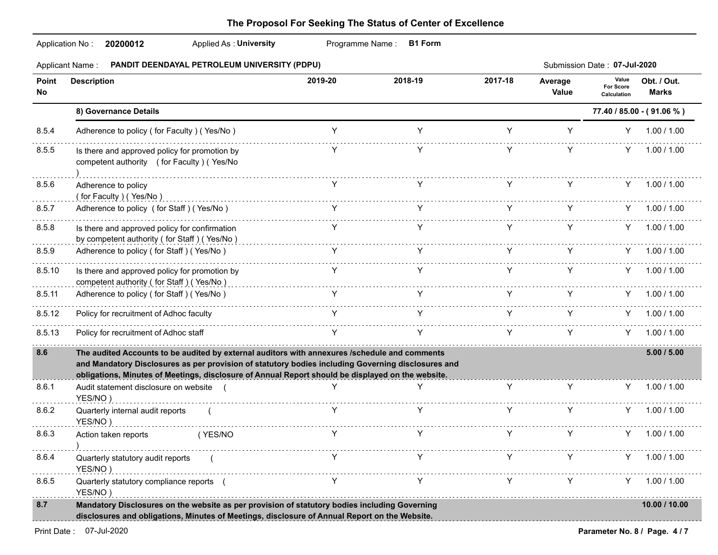|             | Applicant Name: PANDIT DEENDAYAL PETROLEUM UNIVERSITY (PDPU)                                                                                                                                                                                                                                             |                                                                                                                                                                                                                                                                                                  |                                                           |                               |                                                                                                                                                                                                                                                                      | Submission Date: 07-Jul-2020             |                             |
|-------------|----------------------------------------------------------------------------------------------------------------------------------------------------------------------------------------------------------------------------------------------------------------------------------------------------------|--------------------------------------------------------------------------------------------------------------------------------------------------------------------------------------------------------------------------------------------------------------------------------------------------|-----------------------------------------------------------|-------------------------------|----------------------------------------------------------------------------------------------------------------------------------------------------------------------------------------------------------------------------------------------------------------------|------------------------------------------|-----------------------------|
| Point<br>No | <b>Description</b>                                                                                                                                                                                                                                                                                       | 2019-20                                                                                                                                                                                                                                                                                          | 2018-19                                                   | 2017-18                       | Average<br>Value                                                                                                                                                                                                                                                     | Value<br><b>For Score</b><br>Calculation | Obt. / Out.<br><b>Marks</b> |
|             | 8) Governance Details                                                                                                                                                                                                                                                                                    |                                                                                                                                                                                                                                                                                                  |                                                           |                               |                                                                                                                                                                                                                                                                      |                                          | 77.40 / 85.00 - (91.06 %)   |
| 8.5.4       | Adherence to policy (for Faculty) (Yes/No)                                                                                                                                                                                                                                                               | Y                                                                                                                                                                                                                                                                                                | Y                                                         | Y                             | Y                                                                                                                                                                                                                                                                    | Y -                                      | 1.00 / 1.00                 |
| 8.5.5       | Is there and approved policy for promotion by<br>competent authority (for Faculty) (Yes/No                                                                                                                                                                                                               |                                                                                                                                                                                                                                                                                                  |                                                           | Y                             | Y                                                                                                                                                                                                                                                                    | Y.                                       | 1.00 / 1.00                 |
| 8.5.6       | Adherence to policy<br>(for Faculty) (Yes/No)                                                                                                                                                                                                                                                            | Y.                                                                                                                                                                                                                                                                                               | Y.                                                        |                               | Y                                                                                                                                                                                                                                                                    |                                          | Y 1.00 / 1.00               |
| 8.5.7       | Adherence to policy (for Staff) (Yes/No)                                                                                                                                                                                                                                                                 | $\mathsf{Y}$ and $\mathsf{Y}$ and $\mathsf{Y}$ are $\mathsf{Y}$ and $\mathsf{Y}$ and $\mathsf{Y}$ are $\mathsf{Y}$ and $\mathsf{Y}$ and $\mathsf{Y}$ are $\mathsf{Y}$ and $\mathsf{Y}$ and $\mathsf{Y}$ are $\mathsf{Y}$ and $\mathsf{Y}$ and $\mathsf{Y}$ are $\mathsf{Y}$ and $\mathsf{Y}$ and |                                                           |                               |                                                                                                                                                                                                                                                                      |                                          | $Y = 1.00 / 1.00$           |
| 8.5.8       | Is there and approved policy for confirmation<br>by competent authority (for Staff) (Yes/No.)                                                                                                                                                                                                            |                                                                                                                                                                                                                                                                                                  |                                                           | Y                             | Y                                                                                                                                                                                                                                                                    |                                          | Y 1.00 / 1.00               |
| 8.5.9       | Adherence to policy (for Staff) (Yes/No)                                                                                                                                                                                                                                                                 |                                                                                                                                                                                                                                                                                                  |                                                           |                               | $\mathsf{Y}$ and $\mathsf{Y}$<br><b>Y</b> and the set of the set of the set of the set of the set of the set of the set of the set of the set of the set of the set of the set of the set of the set of the set of the set of the set of the set of the set of the s |                                          | $Y = 1.00 / 1.00$           |
| 8.5.10      | Is there and approved policy for promotion by<br>competent authority (for Staff) (Yes/No)                                                                                                                                                                                                                |                                                                                                                                                                                                                                                                                                  |                                                           |                               | Y                                                                                                                                                                                                                                                                    |                                          | $Y = 1.00 / 1.00$           |
| 8.5.11      | Adherence to policy (for Staff) (Yes/No)                                                                                                                                                                                                                                                                 |                                                                                                                                                                                                                                                                                                  | $\mathsf{Y}$ and $\mathsf{Y}$ are the set of $\mathsf{Y}$ | $\mathsf{Y}$ and $\mathsf{Y}$ | Y -                                                                                                                                                                                                                                                                  |                                          | $Y = 1.00 / 1.00$           |
| 8.5.12      | Policy for recruitment of Adhoc faculty                                                                                                                                                                                                                                                                  |                                                                                                                                                                                                                                                                                                  |                                                           |                               | Y.                                                                                                                                                                                                                                                                   |                                          | $Y = 1.00 / 1.00$           |
| 8.5.13      | Policy for recruitment of Adhoc staff                                                                                                                                                                                                                                                                    | $\mathsf{Y}$ and $\mathsf{Y}$                                                                                                                                                                                                                                                                    | $-\tilde{Y}$                                              |                               | $Y = 1$<br>Y                                                                                                                                                                                                                                                         |                                          | 1.00 / 1.00                 |
| 8.6         | The audited Accounts to be audited by external auditors with annexures /schedule and comments<br>and Mandatory Disclosures as per provision of statutory bodies including Governing disclosures and<br>obligations, Minutes of Meetings, disclosure of Annual Report should be displayed on the website. |                                                                                                                                                                                                                                                                                                  |                                                           |                               |                                                                                                                                                                                                                                                                      |                                          | 5.00 / 5.00                 |
| 8.6.1       | Audit statement disclosure on website (<br>YES/NO)                                                                                                                                                                                                                                                       |                                                                                                                                                                                                                                                                                                  | Y                                                         | Y                             | Y                                                                                                                                                                                                                                                                    |                                          | Y 1.00 / 1.00               |
| 8.6.2       | Quarterly internal audit reports<br>YES/NO)                                                                                                                                                                                                                                                              |                                                                                                                                                                                                                                                                                                  | Y                                                         | Y                             | Y                                                                                                                                                                                                                                                                    | Y.                                       | 1.00 / 1.00                 |
| 8.6.3       | Action taken reports<br>(YES/NO                                                                                                                                                                                                                                                                          |                                                                                                                                                                                                                                                                                                  |                                                           |                               | Y                                                                                                                                                                                                                                                                    |                                          | $Y = 1.00 / 1.00$           |
| 8.6.4<br>.  | Quarterly statutory audit reports<br>YES/NO)                                                                                                                                                                                                                                                             | Y                                                                                                                                                                                                                                                                                                | Y                                                         | Y                             | Y                                                                                                                                                                                                                                                                    |                                          | Y 1.00 / 1.00               |
| 8.6.5<br>.  | Quarterly statutory compliance reports (<br>YES/NO)                                                                                                                                                                                                                                                      | Y                                                                                                                                                                                                                                                                                                | Y                                                         | Y.                            | Y                                                                                                                                                                                                                                                                    |                                          | Y 1.00 / 1.00               |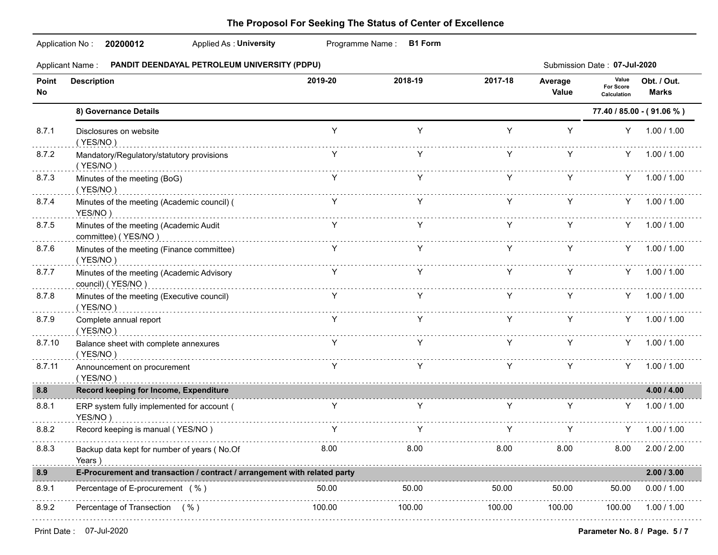|             | Applicant Name: PANDIT DEENDAYAL PETROLEUM UNIVERSITY (PDPU)              |                                                                       |                   |         |                                                                                                                                                                                                                                          | Submission Date: 07-Jul-2020             |                             |  |  |
|-------------|---------------------------------------------------------------------------|-----------------------------------------------------------------------|-------------------|---------|------------------------------------------------------------------------------------------------------------------------------------------------------------------------------------------------------------------------------------------|------------------------------------------|-----------------------------|--|--|
| Point<br>No | <b>Description</b>                                                        | 2019-20                                                               | 2018-19           | 2017-18 | Average<br>Value                                                                                                                                                                                                                         | Value<br><b>For Score</b><br>Calculation | Obt. / Out.<br><b>Marks</b> |  |  |
|             | 8) Governance Details                                                     |                                                                       |                   |         | 77.40 / 85.00 - (91.06 %)                                                                                                                                                                                                                |                                          |                             |  |  |
| 8.7.1       | Disclosures on website<br>(YES/NO)                                        | Y                                                                     | Y                 | Y       | Y                                                                                                                                                                                                                                        | Y -                                      | 1.00 / 1.00                 |  |  |
| 8.7.2       | Mandatory/Regulatory/statutory provisions<br>(YES/NO)                     | Y                                                                     | Y                 | Y       | Y                                                                                                                                                                                                                                        |                                          | Y 1.00 / 1.00               |  |  |
| 8.7.3       | Minutes of the meeting (BoG)<br>(YES/NO)                                  | $\begin{array}{ccc} \mathsf{Y} & \mathsf{Y} & \mathsf{Y} \end{array}$ |                   |         | <b>Y</b> and the state of the state of the state of the state of the state of the state of the state of the state of the state of the state of the state of the state of the state of the state of the state of the state of the st<br>Y |                                          | Y 1.00 / 1.00               |  |  |
| 8.7.4       | Minutes of the meeting (Academic council) (<br>YES/NO)                    | $Y =$                                                                 | Y                 | Y.      | Y                                                                                                                                                                                                                                        |                                          | $Y = 1.00 / 1.00$           |  |  |
| 8.7.5       | Minutes of the meeting (Academic Audit<br>committee) (YES/NO)             |                                                                       | Y.                | Y.      | $Y =$                                                                                                                                                                                                                                    |                                          | $Y = 1.00 / 1.00$           |  |  |
| 8.7.6       | Minutes of the meeting (Finance committee)<br>(YES/NO)                    |                                                                       | Y                 |         | $\mathsf{Y}$ and $\mathsf{Y}$                                                                                                                                                                                                            |                                          | $Y = 1.00 / 1.00$           |  |  |
| 8.7.7       | Minutes of the meeting (Academic Advisory<br>council) (YES/NO)            | Y                                                                     | <b>Example 18</b> | $Y =$   | Y -                                                                                                                                                                                                                                      |                                          | $Y = 1.00 / 1.00$           |  |  |
| 8.7.8       | Minutes of the meeting (Executive council)<br>(YES/NO)                    | Y                                                                     | $\mathsf{Y}$      | Y.      | Y                                                                                                                                                                                                                                        |                                          | Y 1.00 / 1.00               |  |  |
| 8.7.9       | Complete annual report<br>(YES/NO)                                        | <b>Example 18</b>                                                     |                   |         | $Y = 1$<br>Y                                                                                                                                                                                                                             |                                          | Y 1.00 / 1.00               |  |  |
| 8.7.10      | Balance sheet with complete annexures<br>(YES/NO)                         | Y                                                                     | Y                 | Y.      | Y                                                                                                                                                                                                                                        |                                          | $Y = 1.00 / 1.00$           |  |  |
| 8.7.11      | Announcement on procurement<br>(YES/NO)                                   |                                                                       | Y                 | Y -     | $Y =$                                                                                                                                                                                                                                    |                                          | $Y = 1.00 / 1.00$           |  |  |
| 8.8         | Record keeping for Income, Expenditure                                    |                                                                       |                   |         |                                                                                                                                                                                                                                          |                                          | 4.00 / 4.00                 |  |  |
| 8.8.1       | ERP system fully implemented for account (<br>YES/NO)                     | <b>Example 19</b>                                                     | Y                 | Y       | Y                                                                                                                                                                                                                                        |                                          | $Y = 1.00 / 1.00$           |  |  |
| 8.8.2       | Record keeping is manual (YES/NO)                                         | Y                                                                     | $\mathsf{Y}$      | Y -     | Y                                                                                                                                                                                                                                        | Y.                                       | 1.00 / 1.00                 |  |  |
| 8.8.3       | Backup data kept for number of years (No.Of<br>Years                      | 8.00                                                                  | 8.00              | 8.00    | 8.00                                                                                                                                                                                                                                     | 8.00                                     | 2.00 / 2.00                 |  |  |
| 8.9         | E-Procurement and transaction / contract / arrangement with related party |                                                                       |                   |         |                                                                                                                                                                                                                                          |                                          | 2.00 / 3.00                 |  |  |
| 8.9.1       | Percentage of E-procurement (%)                                           | 50.00                                                                 | 50.00             | 50.00   | 50.00                                                                                                                                                                                                                                    | 50.00                                    | 0.00 / 1.00                 |  |  |
| 8.9.2       | Percentage of Transection (%)                                             | 100.00                                                                | 100.00            | 100.00  | 100.00                                                                                                                                                                                                                                   | 100.00                                   | 1.00 / 1.00                 |  |  |
|             |                                                                           |                                                                       |                   |         |                                                                                                                                                                                                                                          |                                          |                             |  |  |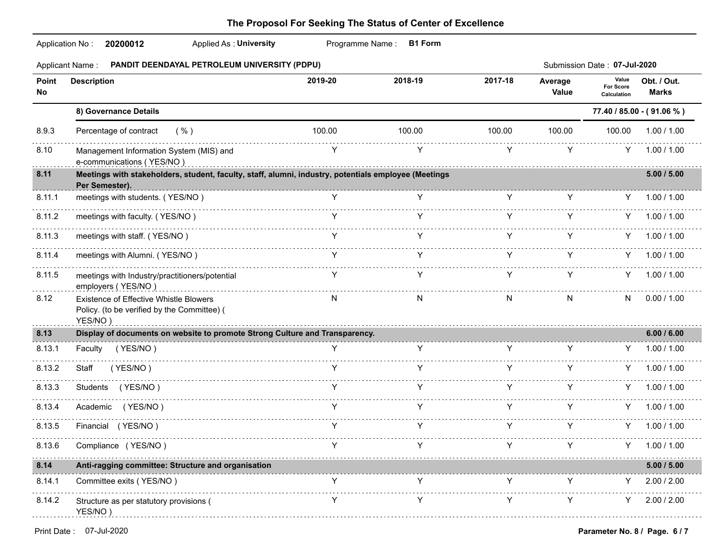|              | Application No:<br>Applied As: University<br>20200012                                                                  |         | Programme Name:<br><b>B1 Form</b> |         |                  |                                          |                             |
|--------------|------------------------------------------------------------------------------------------------------------------------|---------|-----------------------------------|---------|------------------|------------------------------------------|-----------------------------|
|              | PANDIT DEENDAYAL PETROLEUM UNIVERSITY (PDPU)<br><b>Applicant Name:</b>                                                 |         |                                   |         |                  | Submission Date: 07-Jul-2020             |                             |
| Point<br>No. | <b>Description</b>                                                                                                     | 2019-20 | 2018-19                           | 2017-18 | Average<br>Value | Value<br><b>For Score</b><br>Calculation | Obt. / Out.<br><b>Marks</b> |
|              | 8) Governance Details                                                                                                  |         |                                   |         |                  |                                          | 77.40 / 85.00 - (91.06 %)   |
| 8.9.3        | Percentage of contract<br>( %)                                                                                         | 100.00  | 100.00                            | 100.00  | 100.00           | 100.00                                   | 1.00 / 1.00                 |
| 8.10         | Management Information System (MIS) and<br>e-communications (YES/NO)                                                   | Y       | Y                                 | Y       | Y                | Y                                        | 1.00 / 1.00                 |
| 8.11         | Meetings with stakeholders, student, faculty, staff, alumni, industry, potentials employee (Meetings<br>Per Semester). |         |                                   |         |                  |                                          | 5.00 / 5.00                 |
| 8.11.1       | meetings with students. (YES/NO)                                                                                       | Y.      | Y                                 | Y       | Y                | Y -                                      | 1.00 / 1.00                 |
| 8.11.2       | meetings with faculty. (YES/NO)                                                                                        |         |                                   | Y       | Y                | Y                                        | 1.00 / 1.00                 |
| 8.11.3       | meetings with staff. (YES/NO)                                                                                          | Y       | Y                                 | Y       | Y                | Y .                                      | 1.00 / 1.00                 |
| 8.11.4       | meetings with Alumni. (YES/NO)                                                                                         | Y       | Y                                 | Y       | Y                | Y.                                       | 1.00 / 1.00                 |
| 8.11.5       | meetings with Industry/practitioners/potential<br>employers (YES/NO)                                                   | Y       | Y                                 | Y       | Y                | Y.                                       | 1.00 / 1.00                 |
| 8.12         | Existence of Effective Whistle Blowers<br>Policy. (to be verified by the Committee) (<br>YES/NO)                       | N       | N                                 | N       | N                | N                                        | 0.00 / 1.00                 |
| 8.13         | Display of documents on website to promote Strong Culture and Transparency.                                            |         |                                   |         |                  |                                          | 6.00 / 6.00                 |
| 8.13.1       | Faculty (YES/NO)                                                                                                       |         | Y                                 |         | Y                |                                          | 1.00 / 1.00                 |
| 8.13.2       | (YES/NO)<br>Staff                                                                                                      | Y.      |                                   | Y.      | Y                | Y                                        | 1.00 / 1.00                 |
| 8.13.3       | Students (YES/NO)                                                                                                      | Y       |                                   | Y       | Y                | Y.                                       | 1.00 / 1.00                 |
| 8.13.4       | (YES/NO)<br>Academic                                                                                                   | Y       | Y                                 | Y       | Y                | Y.                                       | 1.00 / 1.00                 |
| 8.13.5       | Financial (YES/NO)                                                                                                     | Y       | Y                                 | Y       | Y                | Y.                                       | 1.00 / 1.00                 |
| 8.13.6       | Compliance (YES/NO)                                                                                                    |         |                                   |         |                  |                                          | 1.00 / 1.00                 |
| 8.14         | Anti-ragging committee: Structure and organisation                                                                     |         |                                   |         |                  |                                          | 5.00 / 5.00                 |
| 8.14.1       | Committee exits (YES/NO)                                                                                               | Y       | Y                                 | Y       | Y                | Y                                        | 2.00 / 2.00                 |
| 8.14.2       | Structure as per statutory provisions (<br>YES/NO)                                                                     |         |                                   | Y       | Y                | Y                                        | 2.00 / 2.00                 |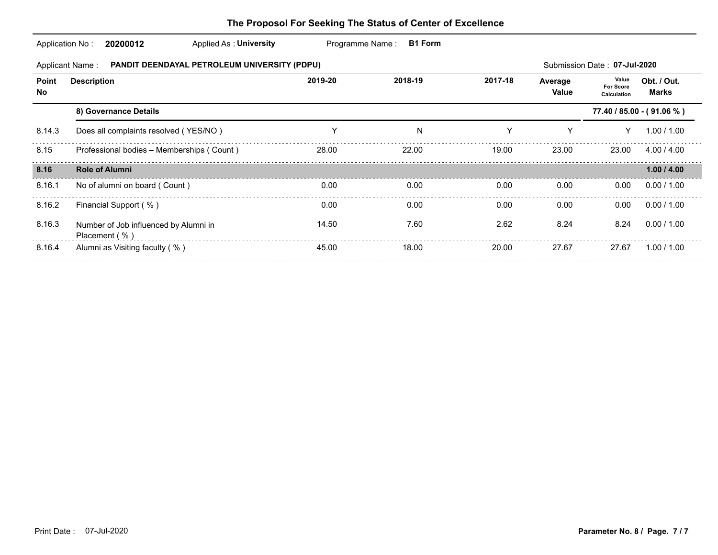| The Proposol For Seeking The Status of Center of Excellence |  |
|-------------------------------------------------------------|--|
|-------------------------------------------------------------|--|

| Application No: | 20200012                                               | Applied As: University                       | Programme Name: | <b>B1 Form</b> |         |                  |                                          |                             |
|-----------------|--------------------------------------------------------|----------------------------------------------|-----------------|----------------|---------|------------------|------------------------------------------|-----------------------------|
|                 | <b>Applicant Name:</b>                                 | PANDIT DEENDAYAL PETROLEUM UNIVERSITY (PDPU) |                 |                |         |                  | Submission Date: 07-Jul-2020             |                             |
| Point<br>No     | <b>Description</b>                                     |                                              | 2019-20         | 2018-19        | 2017-18 | Average<br>Value | Value<br><b>For Score</b><br>Calculation | Obt. / Out.<br><b>Marks</b> |
|                 | 8) Governance Details                                  |                                              |                 |                |         |                  |                                          | 77.40 / 85.00 - (91.06 %)   |
| 8.14.3          | Does all complaints resolved (YES/NO)                  |                                              | Y               | N              | Y       | Υ                |                                          | 1.00 / 1.00                 |
| 8.15            | Professional bodies - Memberships (Count)              |                                              | 28.00           | 22.00          | 19.00   | 23.00            | 23.00                                    | 4.00 / 4.00                 |
| 8.16            | <b>Role of Alumni</b>                                  |                                              |                 |                |         |                  |                                          | 1.00 / 4.00                 |
| 8.16.1          | No of alumni on board (Count)                          |                                              | 0.00            | 0.00           | 0.00    | 0.00             | 0.00                                     | 0.00 / 1.00                 |
| 8.16.2          | Financial Support (%)                                  |                                              | 0.00            | 0.00           | 0.00    | 0.00             | 0.00                                     | 0.00 / 1.00                 |
| 8.16.3          | Number of Job influenced by Alumni in<br>Placement (%) |                                              | 14.50           | 7.60           | 2.62    | 8.24             | 8.24                                     | 0.00 / 1.00                 |
| 8.16.4          | Alumni as Visiting faculty (%)                         |                                              | 45.00           | 18.00          | 20.00   | 27.67            | 27.67                                    | 1.00 / 1.00                 |